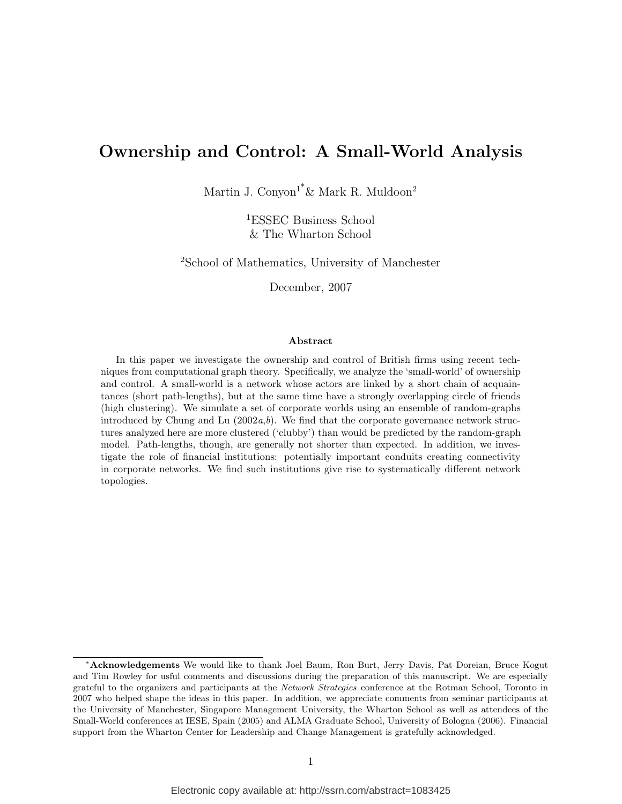# **Ownership and Control: A Small-World Analysis**

Martin J. Convon<sup>1</sup><sup>\*</sup> & Mark R. Muldoon<sup>2</sup>

<sup>1</sup>ESSEC Business School & The Wharton School

<sup>2</sup>School of Mathematics, University of Manchester

December, 2007

#### **Abstract**

In this paper we investigate the ownership and control of British firms using recent techniques from computational graph theory. Specifically, we analyze the 'small-world' of ownership and control. A small-world is a network whose actors are linked by a short chain of acquaintances (short path-lengths), but at the same time have a strongly overlapping circle of friends (high clustering). We simulate a set of corporate worlds using an ensemble of random-graphs introduced by Chung and Lu (2002*a*,*b*). We find that the corporate governance network structures analyzed here are more clustered ('clubby') than would be predicted by the random-graph model. Path-lengths, though, are generally not shorter than expected. In addition, we investigate the role of financial institutions: potentially important conduits creating connectivity in corporate networks. We find such institutions give rise to systematically different network topologies.

<sup>∗</sup>**Acknowledgements** We would like to thank Joel Baum, Ron Burt, Jerry Davis, Pat Doreian, Bruce Kogut and Tim Rowley for usful comments and discussions during the preparation of this manuscript. We are especially grateful to the organizers and participants at the *Network Strategies* conference at the Rotman School, Toronto in 2007 who helped shape the ideas in this paper. In addition, we appreciate comments from seminar participants at the University of Manchester, Singapore Management University, the Wharton School as well as attendees of the Small-World conferences at IESE, Spain (2005) and ALMA Graduate School, University of Bologna (2006). Financial support from the Wharton Center for Leadership and Change Management is gratefully acknowledged.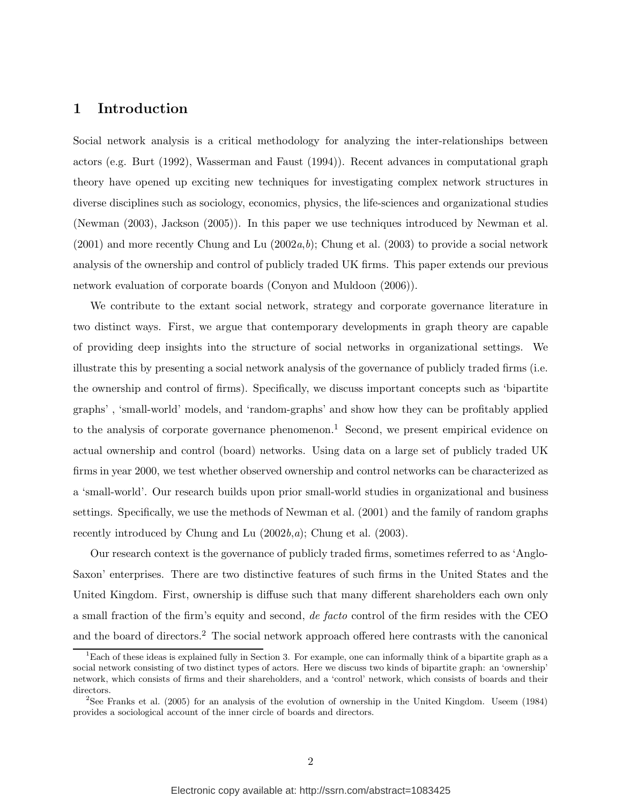# **1 Introduction**

Social network analysis is a critical methodology for analyzing the inter-relationships between actors (e.g. Burt (1992), Wasserman and Faust (1994)). Recent advances in computational graph theory have opened up exciting new techniques for investigating complex network structures in diverse disciplines such as sociology, economics, physics, the life-sciences and organizational studies (Newman (2003), Jackson (2005)). In this paper we use techniques introduced by Newman et al. (2001) and more recently Chung and Lu (2002*a*,*b*); Chung et al. (2003) to provide a social network analysis of the ownership and control of publicly traded UK firms. This paper extends our previous network evaluation of corporate boards (Conyon and Muldoon (2006)).

We contribute to the extant social network, strategy and corporate governance literature in two distinct ways. First, we argue that contemporary developments in graph theory are capable of providing deep insights into the structure of social networks in organizational settings. We illustrate this by presenting a social network analysis of the governance of publicly traded firms (i.e. the ownership and control of firms). Specifically, we discuss important concepts such as 'bipartite graphs' , 'small-world' models, and 'random-graphs' and show how they can be profitably applied to the analysis of corporate governance phenomenon.<sup>1</sup> Second, we present empirical evidence on actual ownership and control (board) networks. Using data on a large set of publicly traded UK firms in year 2000, we test whether observed ownership and control networks can be characterized as a 'small-world'. Our research builds upon prior small-world studies in organizational and business settings. Specifically, we use the methods of Newman et al. (2001) and the family of random graphs recently introduced by Chung and Lu (2002*b*,*a*); Chung et al. (2003).

Our research context is the governance of publicly traded firms, sometimes referred to as 'Anglo-Saxon' enterprises. There are two distinctive features of such firms in the United States and the United Kingdom. First, ownership is diffuse such that many different shareholders each own only a small fraction of the firm's equity and second, *de facto* control of the firm resides with the CEO and the board of directors.<sup>2</sup> The social network approach offered here contrasts with the canonical

 ${}^{1}$ Each of these ideas is explained fully in Section 3. For example, one can informally think of a bipartite graph as a social network consisting of two distinct types of actors. Here we discuss two kinds of bipartite graph: an 'ownership' network, which consists of firms and their shareholders, and a 'control' network, which consists of boards and their directors.

<sup>2</sup>See Franks et al. (2005) for an analysis of the evolution of ownership in the United Kingdom. Useem (1984) provides a sociological account of the inner circle of boards and directors.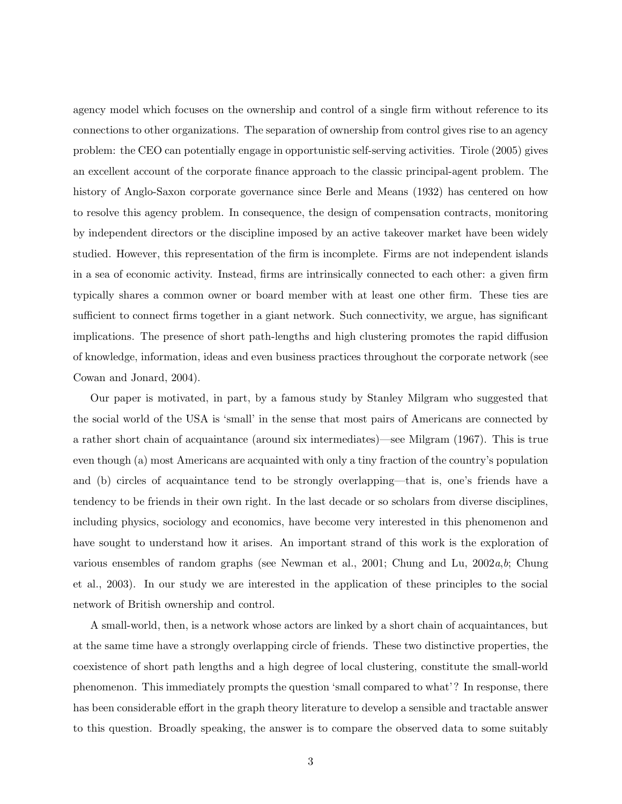agency model which focuses on the ownership and control of a single firm without reference to its connections to other organizations. The separation of ownership from control gives rise to an agency problem: the CEO can potentially engage in opportunistic self-serving activities. Tirole (2005) gives an excellent account of the corporate finance approach to the classic principal-agent problem. The history of Anglo-Saxon corporate governance since Berle and Means (1932) has centered on how to resolve this agency problem. In consequence, the design of compensation contracts, monitoring by independent directors or the discipline imposed by an active takeover market have been widely studied. However, this representation of the firm is incomplete. Firms are not independent islands in a sea of economic activity. Instead, firms are intrinsically connected to each other: a given firm typically shares a common owner or board member with at least one other firm. These ties are sufficient to connect firms together in a giant network. Such connectivity, we argue, has significant implications. The presence of short path-lengths and high clustering promotes the rapid diffusion of knowledge, information, ideas and even business practices throughout the corporate network (see Cowan and Jonard, 2004).

Our paper is motivated, in part, by a famous study by Stanley Milgram who suggested that the social world of the USA is 'small' in the sense that most pairs of Americans are connected by a rather short chain of acquaintance (around six intermediates)—see Milgram (1967). This is true even though (a) most Americans are acquainted with only a tiny fraction of the country's population and (b) circles of acquaintance tend to be strongly overlapping—that is, one's friends have a tendency to be friends in their own right. In the last decade or so scholars from diverse disciplines, including physics, sociology and economics, have become very interested in this phenomenon and have sought to understand how it arises. An important strand of this work is the exploration of various ensembles of random graphs (see Newman et al., 2001; Chung and Lu, 2002*a*,*b*; Chung et al., 2003). In our study we are interested in the application of these principles to the social network of British ownership and control.

A small-world, then, is a network whose actors are linked by a short chain of acquaintances, but at the same time have a strongly overlapping circle of friends. These two distinctive properties, the coexistence of short path lengths and a high degree of local clustering, constitute the small-world phenomenon. This immediately prompts the question 'small compared to what'? In response, there has been considerable effort in the graph theory literature to develop a sensible and tractable answer to this question. Broadly speaking, the answer is to compare the observed data to some suitably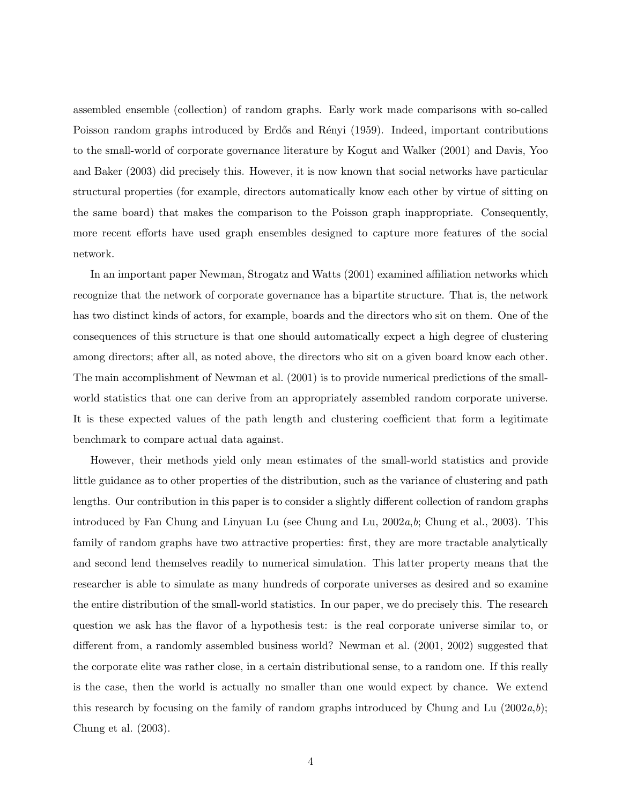assembled ensemble (collection) of random graphs. Early work made comparisons with so-called Poisson random graphs introduced by Erdős and Rényi (1959). Indeed, important contributions to the small-world of corporate governance literature by Kogut and Walker (2001) and Davis, Yoo and Baker (2003) did precisely this. However, it is now known that social networks have particular structural properties (for example, directors automatically know each other by virtue of sitting on the same board) that makes the comparison to the Poisson graph inappropriate. Consequently, more recent efforts have used graph ensembles designed to capture more features of the social network.

In an important paper Newman, Strogatz and Watts (2001) examined affiliation networks which recognize that the network of corporate governance has a bipartite structure. That is, the network has two distinct kinds of actors, for example, boards and the directors who sit on them. One of the consequences of this structure is that one should automatically expect a high degree of clustering among directors; after all, as noted above, the directors who sit on a given board know each other. The main accomplishment of Newman et al. (2001) is to provide numerical predictions of the smallworld statistics that one can derive from an appropriately assembled random corporate universe. It is these expected values of the path length and clustering coefficient that form a legitimate benchmark to compare actual data against.

However, their methods yield only mean estimates of the small-world statistics and provide little guidance as to other properties of the distribution, such as the variance of clustering and path lengths. Our contribution in this paper is to consider a slightly different collection of random graphs introduced by Fan Chung and Linyuan Lu (see Chung and Lu, 2002*a*,*b*; Chung et al., 2003). This family of random graphs have two attractive properties: first, they are more tractable analytically and second lend themselves readily to numerical simulation. This latter property means that the researcher is able to simulate as many hundreds of corporate universes as desired and so examine the entire distribution of the small-world statistics. In our paper, we do precisely this. The research question we ask has the flavor of a hypothesis test: is the real corporate universe similar to, or different from, a randomly assembled business world? Newman et al. (2001, 2002) suggested that the corporate elite was rather close, in a certain distributional sense, to a random one. If this really is the case, then the world is actually no smaller than one would expect by chance. We extend this research by focusing on the family of random graphs introduced by Chung and Lu (2002*a*,*b*); Chung et al. (2003).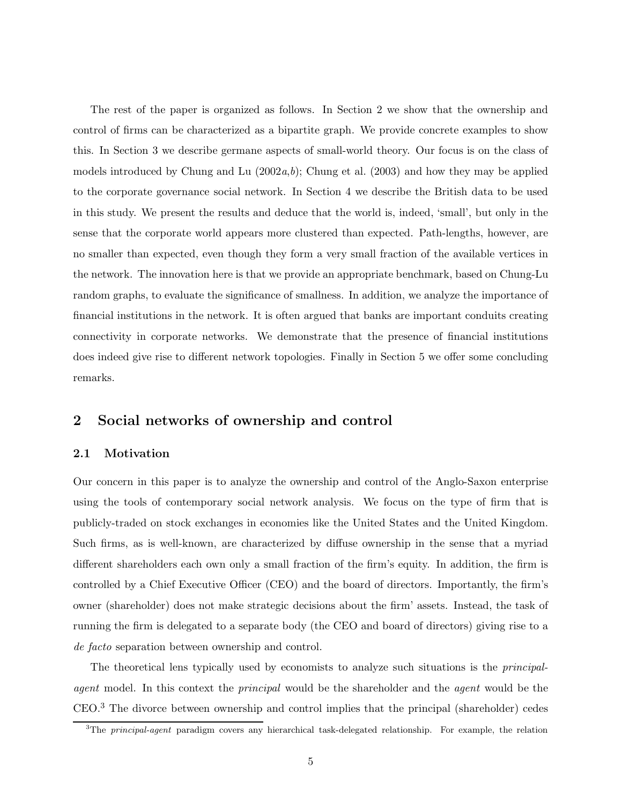The rest of the paper is organized as follows. In Section 2 we show that the ownership and control of firms can be characterized as a bipartite graph. We provide concrete examples to show this. In Section 3 we describe germane aspects of small-world theory. Our focus is on the class of models introduced by Chung and Lu (2002*a*,*b*); Chung et al. (2003) and how they may be applied to the corporate governance social network. In Section 4 we describe the British data to be used in this study. We present the results and deduce that the world is, indeed, 'small', but only in the sense that the corporate world appears more clustered than expected. Path-lengths, however, are no smaller than expected, even though they form a very small fraction of the available vertices in the network. The innovation here is that we provide an appropriate benchmark, based on Chung-Lu random graphs, to evaluate the significance of smallness. In addition, we analyze the importance of financial institutions in the network. It is often argued that banks are important conduits creating connectivity in corporate networks. We demonstrate that the presence of financial institutions does indeed give rise to different network topologies. Finally in Section 5 we offer some concluding remarks.

# **2 Social networks of ownership and control**

#### **2.1 Motivation**

Our concern in this paper is to analyze the ownership and control of the Anglo-Saxon enterprise using the tools of contemporary social network analysis. We focus on the type of firm that is publicly-traded on stock exchanges in economies like the United States and the United Kingdom. Such firms, as is well-known, are characterized by diffuse ownership in the sense that a myriad different shareholders each own only a small fraction of the firm's equity. In addition, the firm is controlled by a Chief Executive Officer (CEO) and the board of directors. Importantly, the firm's owner (shareholder) does not make strategic decisions about the firm' assets. Instead, the task of running the firm is delegated to a separate body (the CEO and board of directors) giving rise to a *de facto* separation between ownership and control.

The theoretical lens typically used by economists to analyze such situations is the *principalagent* model. In this context the *principal* would be the shareholder and the *agent* would be the CEO.<sup>3</sup> The divorce between ownership and control implies that the principal (shareholder) cedes

<sup>3</sup>The *principal-agent* paradigm covers any hierarchical task-delegated relationship. For example, the relation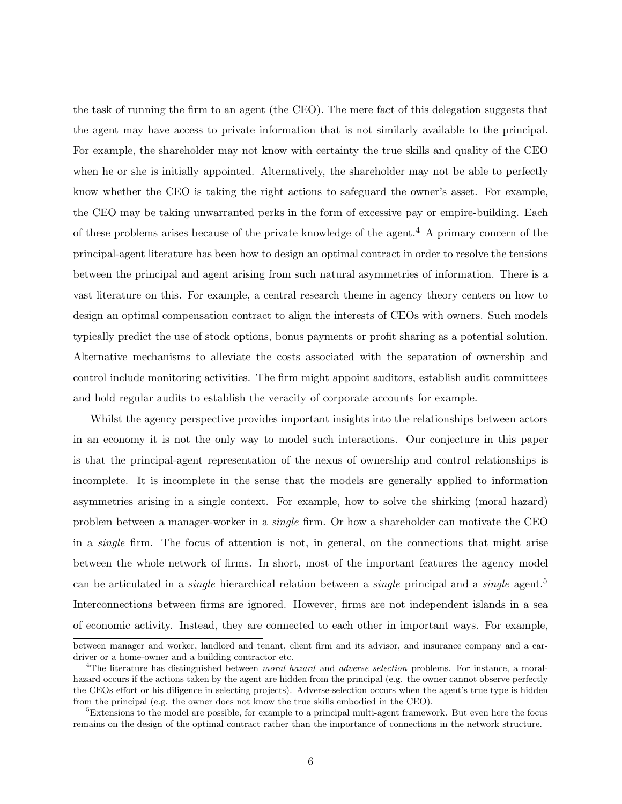the task of running the firm to an agent (the CEO). The mere fact of this delegation suggests that the agent may have access to private information that is not similarly available to the principal. For example, the shareholder may not know with certainty the true skills and quality of the CEO when he or she is initially appointed. Alternatively, the shareholder may not be able to perfectly know whether the CEO is taking the right actions to safeguard the owner's asset. For example, the CEO may be taking unwarranted perks in the form of excessive pay or empire-building. Each of these problems arises because of the private knowledge of the agent.<sup>4</sup> A primary concern of the principal-agent literature has been how to design an optimal contract in order to resolve the tensions between the principal and agent arising from such natural asymmetries of information. There is a vast literature on this. For example, a central research theme in agency theory centers on how to design an optimal compensation contract to align the interests of CEOs with owners. Such models typically predict the use of stock options, bonus payments or profit sharing as a potential solution. Alternative mechanisms to alleviate the costs associated with the separation of ownership and control include monitoring activities. The firm might appoint auditors, establish audit committees and hold regular audits to establish the veracity of corporate accounts for example.

Whilst the agency perspective provides important insights into the relationships between actors in an economy it is not the only way to model such interactions. Our conjecture in this paper is that the principal-agent representation of the nexus of ownership and control relationships is incomplete. It is incomplete in the sense that the models are generally applied to information asymmetries arising in a single context. For example, how to solve the shirking (moral hazard) problem between a manager-worker in a *single* firm. Or how a shareholder can motivate the CEO in a *single* firm. The focus of attention is not, in general, on the connections that might arise between the whole network of firms. In short, most of the important features the agency model can be articulated in a *single* hierarchical relation between a *single* principal and a *single* agent.<sup>5</sup> Interconnections between firms are ignored. However, firms are not independent islands in a sea of economic activity. Instead, they are connected to each other in important ways. For example,

between manager and worker, landlord and tenant, client firm and its advisor, and insurance company and a cardriver or a home-owner and a building contractor etc.

<sup>4</sup>The literature has distinguished between *moral hazard* and *adverse selection* problems. For instance, a moralhazard occurs if the actions taken by the agent are hidden from the principal (e.g. the owner cannot observe perfectly the CEOs effort or his diligence in selecting projects). Adverse-selection occurs when the agent's true type is hidden from the principal (e.g. the owner does not know the true skills embodied in the CEO).

<sup>&</sup>lt;sup>5</sup>Extensions to the model are possible, for example to a principal multi-agent framework. But even here the focus remains on the design of the optimal contract rather than the importance of connections in the network structure.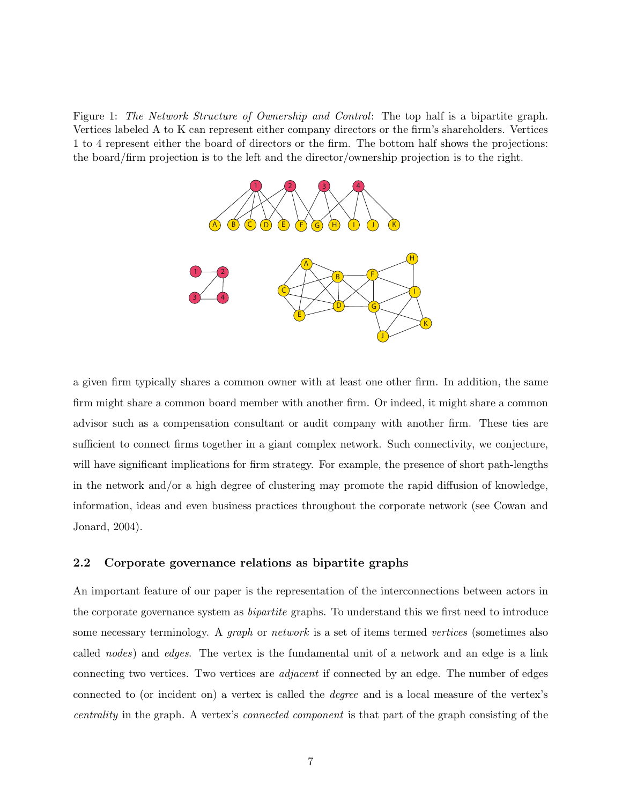Figure 1: *The Network Structure of Ownership and Control*: The top half is a bipartite graph. Vertices labeled A to K can represent either company directors or the firm's shareholders. Vertices 1 to 4 represent either the board of directors or the firm. The bottom half shows the projections: the board/firm projection is to the left and the director/ownership projection is to the right.



a given firm typically shares a common owner with at least one other firm. In addition, the same firm might share a common board member with another firm. Or indeed, it might share a common advisor such as a compensation consultant or audit company with another firm. These ties are sufficient to connect firms together in a giant complex network. Such connectivity, we conjecture, will have significant implications for firm strategy. For example, the presence of short path-lengths in the network and/or a high degree of clustering may promote the rapid diffusion of knowledge, information, ideas and even business practices throughout the corporate network (see Cowan and Jonard, 2004).

### **2.2 Corporate governance relations as bipartite graphs**

An important feature of our paper is the representation of the interconnections between actors in the corporate governance system as *bipartite* graphs. To understand this we first need to introduce some necessary terminology. A *graph* or *network* is a set of items termed *vertices* (sometimes also called *nodes*) and *edges*. The vertex is the fundamental unit of a network and an edge is a link connecting two vertices. Two vertices are *adjacent* if connected by an edge. The number of edges connected to (or incident on) a vertex is called the *degree* and is a local measure of the vertex's *centrality* in the graph. A vertex's *connected component* is that part of the graph consisting of the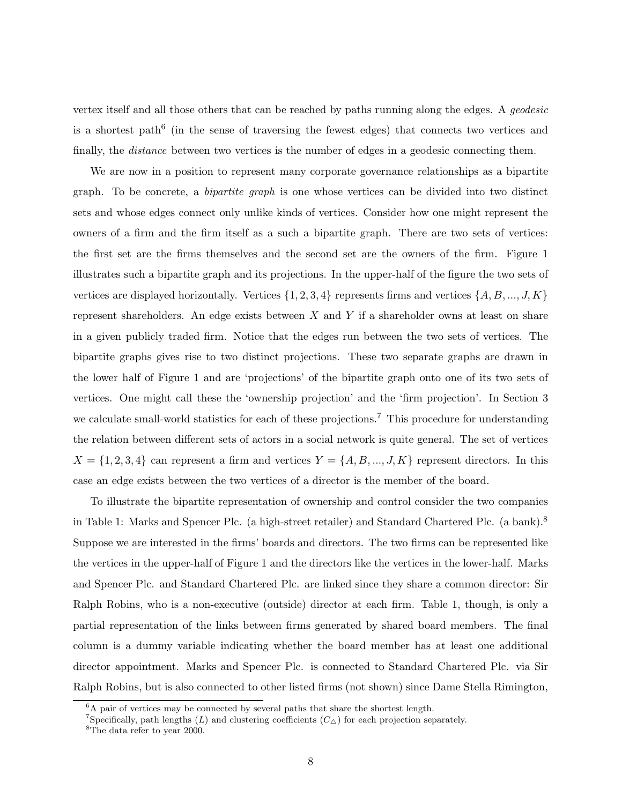vertex itself and all those others that can be reached by paths running along the edges. A *geodesic* is a shortest path<sup>6</sup> (in the sense of traversing the fewest edges) that connects two vertices and finally, the *distance* between two vertices is the number of edges in a geodesic connecting them.

We are now in a position to represent many corporate governance relationships as a bipartite graph. To be concrete, a *bipartite graph* is one whose vertices can be divided into two distinct sets and whose edges connect only unlike kinds of vertices. Consider how one might represent the owners of a firm and the firm itself as a such a bipartite graph. There are two sets of vertices: the first set are the firms themselves and the second set are the owners of the firm. Figure 1 illustrates such a bipartite graph and its projections. In the upper-half of the figure the two sets of vertices are displayed horizontally. Vertices  $\{1, 2, 3, 4\}$  represents firms and vertices  $\{A, B, ..., J, K\}$ represent shareholders. An edge exists between  $X$  and  $Y$  if a shareholder owns at least on share in a given publicly traded firm. Notice that the edges run between the two sets of vertices. The bipartite graphs gives rise to two distinct projections. These two separate graphs are drawn in the lower half of Figure 1 and are 'projections' of the bipartite graph onto one of its two sets of vertices. One might call these the 'ownership projection' and the 'firm projection'. In Section 3 we calculate small-world statistics for each of these projections.<sup>7</sup> This procedure for understanding the relation between different sets of actors in a social network is quite general. The set of vertices  $X = \{1, 2, 3, 4\}$  can represent a firm and vertices  $Y = \{A, B, ..., J, K\}$  represent directors. In this case an edge exists between the two vertices of a director is the member of the board.

To illustrate the bipartite representation of ownership and control consider the two companies in Table 1: Marks and Spencer Plc. (a high-street retailer) and Standard Chartered Plc. (a bank).<sup>8</sup> Suppose we are interested in the firms' boards and directors. The two firms can be represented like the vertices in the upper-half of Figure 1 and the directors like the vertices in the lower-half. Marks and Spencer Plc. and Standard Chartered Plc. are linked since they share a common director: Sir Ralph Robins, who is a non-executive (outside) director at each firm. Table 1, though, is only a partial representation of the links between firms generated by shared board members. The final column is a dummy variable indicating whether the board member has at least one additional director appointment. Marks and Spencer Plc. is connected to Standard Chartered Plc. via Sir Ralph Robins, but is also connected to other listed firms (not shown) since Dame Stella Rimington,

 ${}^{6}$ A pair of vertices may be connected by several paths that share the shortest length.

<sup>&</sup>lt;sup>7</sup>Specifically, path lengths (*L*) and clustering coefficients ( $C_{\triangle}$ ) for each projection separately. <sup>8</sup>The data refer to year 2000.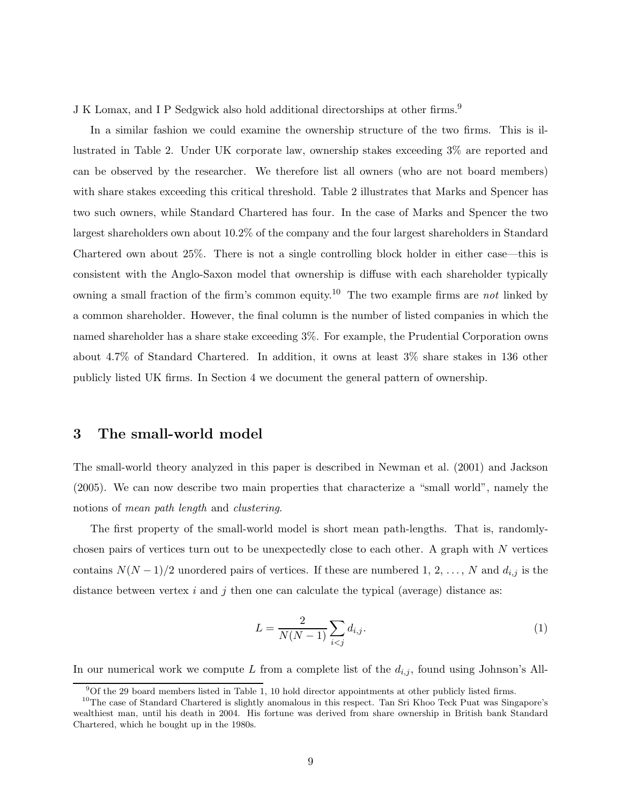J K Lomax, and I P Sedgwick also hold additional directorships at other firms.<sup>9</sup>

In a similar fashion we could examine the ownership structure of the two firms. This is illustrated in Table 2. Under UK corporate law, ownership stakes exceeding 3% are reported and can be observed by the researcher. We therefore list all owners (who are not board members) with share stakes exceeding this critical threshold. Table 2 illustrates that Marks and Spencer has two such owners, while Standard Chartered has four. In the case of Marks and Spencer the two largest shareholders own about 10.2% of the company and the four largest shareholders in Standard Chartered own about 25%. There is not a single controlling block holder in either case—this is consistent with the Anglo-Saxon model that ownership is diffuse with each shareholder typically owning a small fraction of the firm's common equity.<sup>10</sup> The two example firms are *not* linked by a common shareholder. However, the final column is the number of listed companies in which the named shareholder has a share stake exceeding 3%. For example, the Prudential Corporation owns about 4.7% of Standard Chartered. In addition, it owns at least 3% share stakes in 136 other publicly listed UK firms. In Section 4 we document the general pattern of ownership.

### **3 The small-world model**

The small-world theory analyzed in this paper is described in Newman et al. (2001) and Jackson (2005). We can now describe two main properties that characterize a "small world", namely the notions of *mean path length* and *clustering*.

The first property of the small-world model is short mean path-lengths. That is, randomlychosen pairs of vertices turn out to be unexpectedly close to each other. A graph with  $N$  vertices contains  $N(N-1)/2$  unordered pairs of vertices. If these are numbered 1, 2, ..., N and  $d_{i,j}$  is the distance between vertex  $i$  and  $j$  then one can calculate the typical (average) distance as:

$$
L = \frac{2}{N(N-1)} \sum_{i < j} d_{i,j}.\tag{1}
$$

In our numerical work we compute L from a complete list of the  $d_{i,j}$ , found using Johnson's All-

<sup>9</sup>Of the 29 board members listed in Table 1, 10 hold director appointments at other publicly listed firms.

<sup>&</sup>lt;sup>10</sup>The case of Standard Chartered is slightly anomalous in this respect. Tan Sri Khoo Teck Puat was Singapore's wealthiest man, until his death in 2004. His fortune was derived from share ownership in British bank Standard Chartered, which he bought up in the 1980s.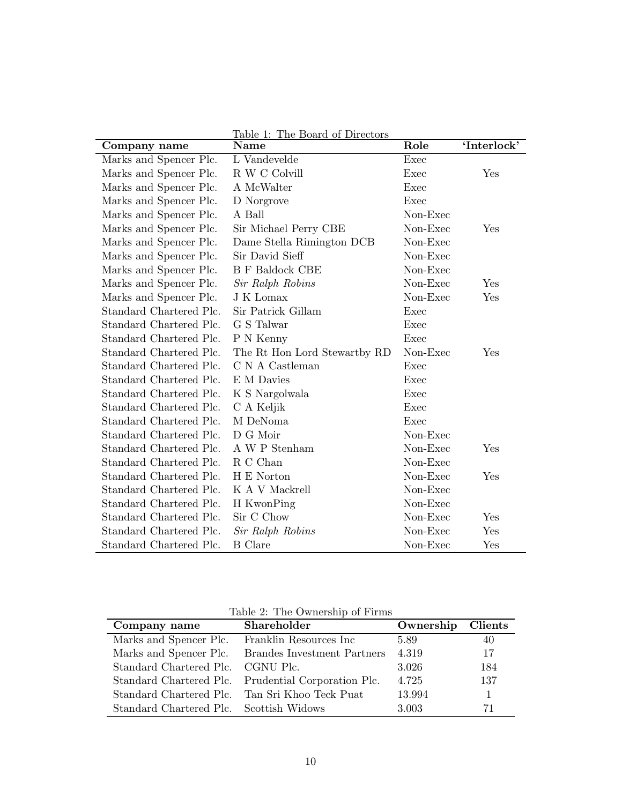|                         | Table 1: The Board of Directors |          |             |
|-------------------------|---------------------------------|----------|-------------|
| Company name            | <b>Name</b>                     | Role     | 'Interlock' |
| Marks and Spencer Plc.  | L Vandevelde                    | Exec     |             |
| Marks and Spencer Plc.  | R W C Colvill                   | Exec     | Yes         |
| Marks and Spencer Plc.  | A McWalter                      | Exec     |             |
| Marks and Spencer Plc.  | D Norgrove                      | Exec     |             |
| Marks and Spencer Plc.  | A Ball                          | Non-Exec |             |
| Marks and Spencer Plc.  | Sir Michael Perry CBE           | Non-Exec | Yes         |
| Marks and Spencer Plc.  | Dame Stella Rimington DCB       | Non-Exec |             |
| Marks and Spencer Plc.  | Sir David Sieff                 | Non-Exec |             |
| Marks and Spencer Plc.  | <b>B</b> F Baldock CBE          | Non-Exec |             |
| Marks and Spencer Plc.  | Sir Ralph Robins                | Non-Exec | Yes         |
| Marks and Spencer Plc.  | J K Lomax                       | Non-Exec | Yes         |
| Standard Chartered Plc. | Sir Patrick Gillam              | Exec     |             |
| Standard Chartered Plc. | G S Talwar                      | Exec     |             |
| Standard Chartered Plc. | P N Kenny                       | Exec     |             |
| Standard Chartered Plc. | The Rt Hon Lord Stewartby RD    | Non-Exec | Yes         |
| Standard Chartered Plc. | C N A Castleman                 | Exec     |             |
| Standard Chartered Plc. | E M Davies                      | Exec     |             |
| Standard Chartered Plc. | K S Nargolwala                  | Exec     |             |
| Standard Chartered Plc. | C A Keljik                      | Exec     |             |
| Standard Chartered Plc. | M DeNoma                        | Exec     |             |
| Standard Chartered Plc. | D G Moir                        | Non-Exec |             |
| Standard Chartered Plc. | A W P Stenham                   | Non-Exec | Yes         |
| Standard Chartered Plc. | R C Chan                        | Non-Exec |             |
| Standard Chartered Plc. | H E Norton                      | Non-Exec | Yes         |
| Standard Chartered Plc. | K A V Mackrell                  | Non-Exec |             |
| Standard Chartered Plc. | H KwonPing                      | Non-Exec |             |
| Standard Chartered Plc. | Sir C Chow                      | Non-Exec | Yes         |
| Standard Chartered Plc. | Sir Ralph Robins                | Non-Exec | Yes         |
| Standard Chartered Plc. | <b>B</b> Clare                  | Non-Exec | Yes         |

Table 2: The Ownership of Firms

| Company name                            | Shareholder                                         | Ownership Clients |     |
|-----------------------------------------|-----------------------------------------------------|-------------------|-----|
| Marks and Spencer Plc.                  | Franklin Resources Inc                              | 5.89              | 40  |
|                                         | Marks and Spencer Plc. Brandes Investment Partners  | 4.319             | 17  |
| Standard Chartered Plc. CGNU Plc.       |                                                     | 3.026             | 184 |
|                                         | Standard Chartered Plc. Prudential Corporation Plc. | 4.725             | 137 |
|                                         | Standard Chartered Plc. Tan Sri Khoo Teck Puat      | 13.994            | 1.  |
| Standard Chartered Plc. Scottish Widows |                                                     | 3.003             | 71  |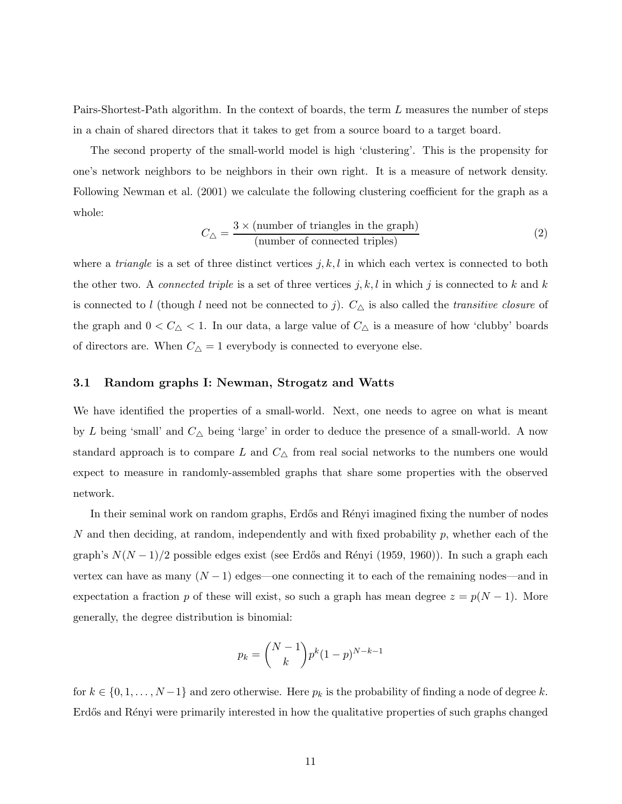Pairs-Shortest-Path algorithm. In the context of boards, the term L measures the number of steps in a chain of shared directors that it takes to get from a source board to a target board.

The second property of the small-world model is high 'clustering'. This is the propensity for one's network neighbors to be neighbors in their own right. It is a measure of network density. Following Newman et al. (2001) we calculate the following clustering coefficient for the graph as a whole:

$$
C_{\triangle} = \frac{3 \times (\text{number of triangles in the graph})}{(\text{number of connected triples})}
$$
 (2)

where a *triangle* is a set of three distinct vertices  $j, k, l$  in which each vertex is connected to both the other two. A *connected triple* is a set of three vertices  $j, k, l$  in which j is connected to k and k is connected to l (though l need not be connected to j).  $C_{\Delta}$  is also called the *transitive closure* of the graph and  $0 < C_{\Delta} < 1$ . In our data, a large value of  $C_{\Delta}$  is a measure of how 'clubby' boards of directors are. When  $C_{\Delta} = 1$  everybody is connected to everyone else.

#### **3.1 Random graphs I: Newman, Strogatz and Watts**

We have identified the properties of a small-world. Next, one needs to agree on what is meant by L being 'small' and  $C_{\Delta}$  being 'large' in order to deduce the presence of a small-world. A now standard approach is to compare L and  $C_{\Delta}$  from real social networks to the numbers one would expect to measure in randomly-assembled graphs that share some properties with the observed network.

In their seminal work on random graphs, Erdős and Rényi imagined fixing the number of nodes N and then deciding, at random, independently and with fixed probability  $p$ , whether each of the graph's  $N(N-1)/2$  possible edges exist (see Erdős and Rényi (1959, 1960)). In such a graph each vertex can have as many  $(N-1)$  edges—one connecting it to each of the remaining nodes—and in expectation a fraction p of these will exist, so such a graph has mean degree  $z = p(N - 1)$ . More generally, the degree distribution is binomial:

$$
p_k = \binom{N-1}{k} p^k (1-p)^{N-k-1}
$$

for  $k \in \{0, 1, \ldots, N-1\}$  and zero otherwise. Here  $p_k$  is the probability of finding a node of degree k. Erdős and Rényi were primarily interested in how the qualitative properties of such graphs changed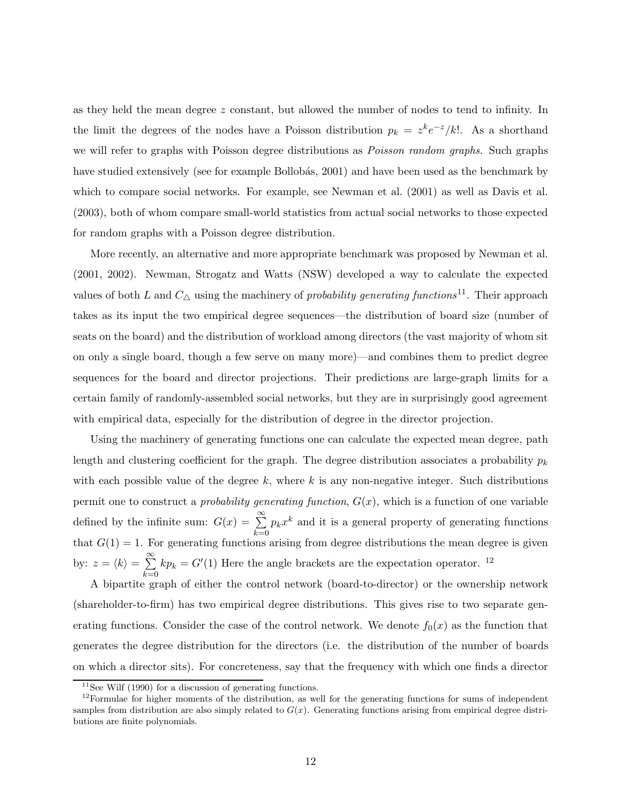as they held the mean degree z constant, but allowed the number of nodes to tend to infinity. In the limit the degrees of the nodes have a Poisson distribution  $p_k = z^k e^{-z}/k!$ . As a shorthand we will refer to graphs with Poisson degree distributions as *Poisson random graphs*. Such graphs have studied extensively (see for example Bollobás, 2001) and have been used as the benchmark by which to compare social networks. For example, see Newman et al. (2001) as well as Davis et al. (2003), both of whom compare small-world statistics from actual social networks to those expected for random graphs with a Poisson degree distribution.

More recently, an alternative and more appropriate benchmark was proposed by Newman et al. (2001, 2002). Newman, Strogatz and Watts (NSW) developed a way to calculate the expected values of both L and  $C_{\Delta}$  using the machinery of *probability generating functions*<sup>11</sup>. Their approach takes as its input the two empirical degree sequences—the distribution of board size (number of seats on the board) and the distribution of workload among directors (the vast majority of whom sit on only a single board, though a few serve on many more)—and combines them to predict degree sequences for the board and director projections. Their predictions are large-graph limits for a certain family of randomly-assembled social networks, but they are in surprisingly good agreement with empirical data, especially for the distribution of degree in the director projection.

Using the machinery of generating functions one can calculate the expected mean degree, path length and clustering coefficient for the graph. The degree distribution associates a probability  $p_k$ with each possible value of the degree  $k$ , where  $k$  is any non-negative integer. Such distributions permit one to construct a *probability generating function*,  $G(x)$ , which is a function of one variable defined by the infinite sum:  $G(x) = \sum_{k=0}^{\infty} p_k x^k$  and it is a general property of generating functions that  $G(1) = 1$ . For generating functions arising from degree distributions the mean degree is given by:  $z = \langle k \rangle = \sum_{k=0}^{\infty} k p_k = G'(1)$  Here the angle brackets are the expectation operator. <sup>12</sup>

 $k=0$ <br>A bipartite graph of either the control network (board-to-director) or the ownership network (shareholder-to-firm) has two empirical degree distributions. This gives rise to two separate generating functions. Consider the case of the control network. We denote  $f_0(x)$  as the function that generates the degree distribution for the directors (i.e. the distribution of the number of boards on which a director sits). For concreteness, say that the frequency with which one finds a director

 $11$ See Wilf (1990) for a discussion of generating functions.

 $12$ Formulae for higher moments of the distribution, as well for the generating functions for sums of independent samples from distribution are also simply related to  $G(x)$ . Generating functions arising from empirical degree distributions are finite polynomials.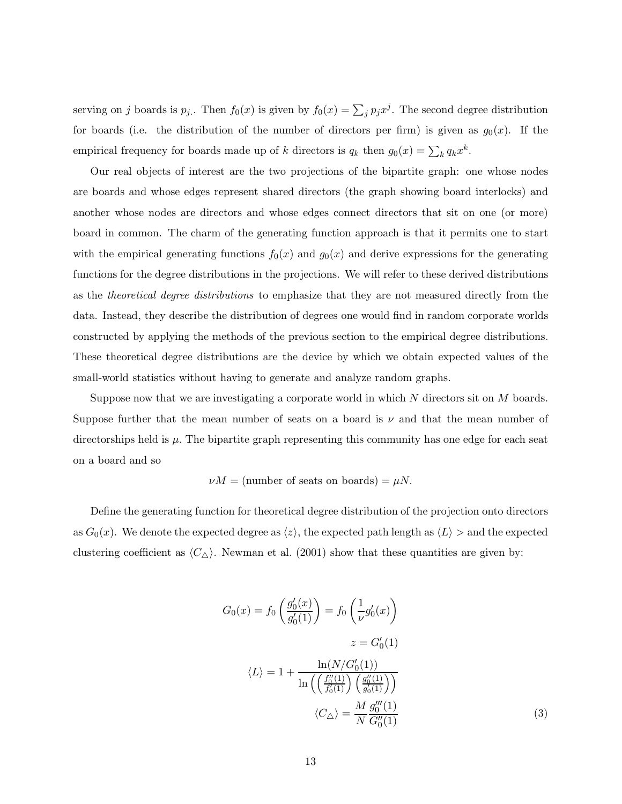serving on *j* boards is  $p_j$ . Then  $f_0(x)$  is given by  $f_0(x) = \sum_j p_j x^j$ . The second degree distribution for boards (i.e. the distribution of the number of directors per firm) is given as  $g_0(x)$ . If the empirical frequency for boards made up of k directors is  $q_k$  then  $g_0(x) = \sum_k q_k x^k$ .

Our real objects of interest are the two projections of the bipartite graph: one whose nodes are boards and whose edges represent shared directors (the graph showing board interlocks) and another whose nodes are directors and whose edges connect directors that sit on one (or more) board in common. The charm of the generating function approach is that it permits one to start with the empirical generating functions  $f_0(x)$  and  $g_0(x)$  and derive expressions for the generating functions for the degree distributions in the projections. We will refer to these derived distributions as the *theoretical degree distributions* to emphasize that they are not measured directly from the data. Instead, they describe the distribution of degrees one would find in random corporate worlds constructed by applying the methods of the previous section to the empirical degree distributions. These theoretical degree distributions are the device by which we obtain expected values of the small-world statistics without having to generate and analyze random graphs.

Suppose now that we are investigating a corporate world in which N directors sit on M boards. Suppose further that the mean number of seats on a board is  $\nu$  and that the mean number of directorships held is  $\mu$ . The bipartite graph representing this community has one edge for each seat on a board and so

$$
\nu M = (\text{number of seats on boards}) = \mu N.
$$

Define the generating function for theoretical degree distribution of the projection onto directors as  $G_0(x)$ . We denote the expected degree as  $\langle z \rangle$ , the expected path length as  $\langle L \rangle >$  and the expected clustering coefficient as  $\langle C_{\Delta} \rangle$ . Newman et al. (2001) show that these quantities are given by:

$$
G_0(x) = f_0\left(\frac{g_0'(x)}{g_0'(1)}\right) = f_0\left(\frac{1}{\nu}g_0'(x)\right)
$$

$$
z = G_0'(1)
$$

$$
\langle L \rangle = 1 + \frac{\ln(N/G_0'(1))}{\ln\left(\left(\frac{f_0''(1)}{f_0'(1)}\right)\left(\frac{g_0''(1)}{g_0'(1)}\right)\right)}
$$

$$
\langle C_{\triangle} \rangle = \frac{M}{N} \frac{g_0'''(1)}{G_0''(1)}
$$
(3)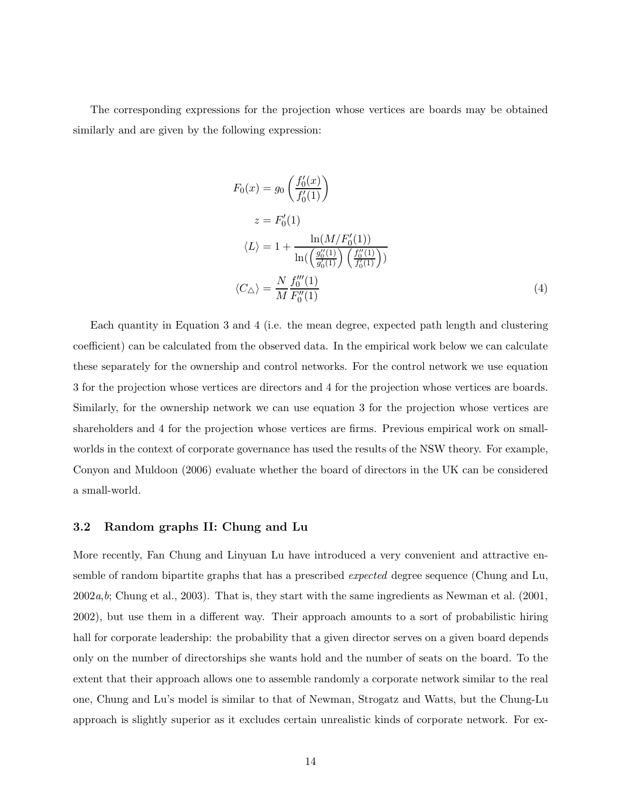The corresponding expressions for the projection whose vertices are boards may be obtained similarly and are given by the following expression:

$$
F_0(x) = g_0 \left( \frac{f'_0(x)}{f'_0(1)} \right)
$$
  
\n
$$
z = F'_0(1)
$$
  
\n
$$
\langle L \rangle = 1 + \frac{\ln(M/F'_0(1))}{\ln(\left(\frac{g''_0(1)}{g'_0(1)}\right)\left(\frac{f''_0(1)}{f'_0(1)}\right))}
$$
  
\n
$$
\langle C_{\triangle} \rangle = \frac{N}{M} \frac{f'''_0(1)}{F''_0(1)}
$$
\n(4)

Each quantity in Equation 3 and 4 (i.e. the mean degree, expected path length and clustering coefficient) can be calculated from the observed data. In the empirical work below we can calculate these separately for the ownership and control networks. For the control network we use equation 3 for the projection whose vertices are directors and 4 for the projection whose vertices are boards. Similarly, for the ownership network we can use equation 3 for the projection whose vertices are shareholders and 4 for the projection whose vertices are firms. Previous empirical work on smallworlds in the context of corporate governance has used the results of the NSW theory. For example, Conyon and Muldoon (2006) evaluate whether the board of directors in the UK can be considered a small-world.

### **3.2 Random graphs II: Chung and Lu**

More recently, Fan Chung and Linyuan Lu have introduced a very convenient and attractive ensemble of random bipartite graphs that has a prescribed *expected* degree sequence (Chung and Lu, 2002*a*,*b*; Chung et al., 2003). That is, they start with the same ingredients as Newman et al. (2001, 2002), but use them in a different way. Their approach amounts to a sort of probabilistic hiring hall for corporate leadership: the probability that a given director serves on a given board depends only on the number of directorships she wants hold and the number of seats on the board. To the extent that their approach allows one to assemble randomly a corporate network similar to the real one, Chung and Lu's model is similar to that of Newman, Strogatz and Watts, but the Chung-Lu approach is slightly superior as it excludes certain unrealistic kinds of corporate network. For ex-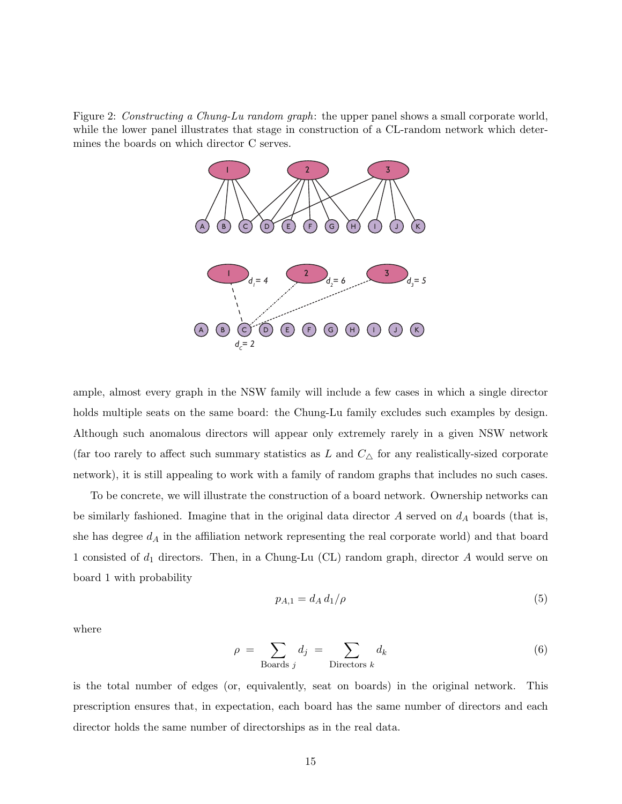Figure 2: *Constructing a Chung-Lu random graph*: the upper panel shows a small corporate world, while the lower panel illustrates that stage in construction of a CL-random network which determines the boards on which director C serves.



ample, almost every graph in the NSW family will include a few cases in which a single director holds multiple seats on the same board: the Chung-Lu family excludes such examples by design. Although such anomalous directors will appear only extremely rarely in a given NSW network (far too rarely to affect such summary statistics as L and  $C_{\Delta}$  for any realistically-sized corporate network), it is still appealing to work with a family of random graphs that includes no such cases.

To be concrete, we will illustrate the construction of a board network. Ownership networks can be similarly fashioned. Imagine that in the original data director <sup>A</sup> served on <sup>d</sup>*A* boards (that is, she has degree  $d_A$  in the affiliation network representing the real corporate world) and that board 1 consisted of  $d_1$  directors. Then, in a Chung-Lu (CL) random graph, director A would serve on board 1 with probability

$$
p_{A,1} = d_A d_1 / \rho \tag{5}
$$

where

$$
\rho = \sum_{\text{Boards } j} d_j = \sum_{\text{Directions } k} d_k \tag{6}
$$

is the total number of edges (or, equivalently, seat on boards) in the original network. This prescription ensures that, in expectation, each board has the same number of directors and each director holds the same number of directorships as in the real data.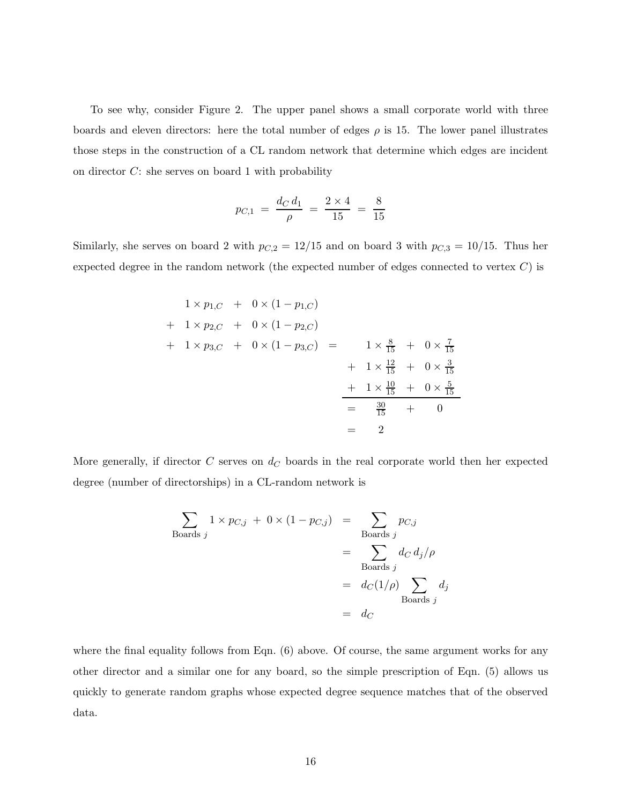To see why, consider Figure 2. The upper panel shows a small corporate world with three boards and eleven directors: here the total number of edges  $\rho$  is 15. The lower panel illustrates those steps in the construction of a CL random network that determine which edges are incident on director C: she serves on board 1 with probability

$$
p_{C,1} = \frac{d_C d_1}{\rho} = \frac{2 \times 4}{15} = \frac{8}{15}
$$

Similarly, she serves on board 2 with  $p_{C,2} = 12/15$  and on board 3 with  $p_{C,3} = 10/15$ . Thus her expected degree in the random network (the expected number of edges connected to vertex  $C$ ) is

$$
1 \times p_{1,C} + 0 \times (1 - p_{1,C})
$$
  
+  $1 \times p_{2,C} + 0 \times (1 - p_{2,C})$   
+  $1 \times p_{3,C} + 0 \times (1 - p_{3,C}) = 1 \times \frac{8}{15} + 0 \times \frac{7}{15}$   
+  $1 \times \frac{12}{15} + 0 \times \frac{3}{15}$   
+  $1 \times \frac{10}{15} + 0 \times \frac{5}{15}$   
=  $\frac{30}{15} + 0$   
= 2

More generally, if director <sup>C</sup> serves on <sup>d</sup>*C* boards in the real corporate world then her expected degree (number of directorships) in a CL-random network is

$$
\sum_{\text{Boards } j} 1 \times p_{C,j} + 0 \times (1 - p_{C,j}) = \sum_{\text{Boards } j} p_{C,j}
$$
  
= 
$$
\sum_{\text{Boards } j} d_C d_j / \rho
$$
  
= 
$$
d_C (1/\rho) \sum_{\text{Boards } j} d_j
$$
  
= 
$$
d_C
$$

where the final equality follows from Eqn. (6) above. Of course, the same argument works for any other director and a similar one for any board, so the simple prescription of Eqn. (5) allows us quickly to generate random graphs whose expected degree sequence matches that of the observed data.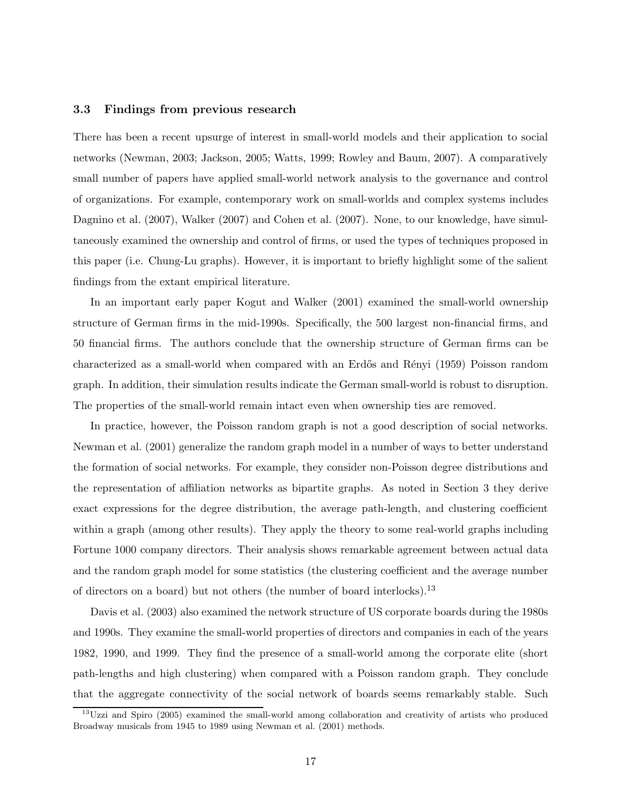#### **3.3 Findings from previous research**

There has been a recent upsurge of interest in small-world models and their application to social networks (Newman, 2003; Jackson, 2005; Watts, 1999; Rowley and Baum, 2007). A comparatively small number of papers have applied small-world network analysis to the governance and control of organizations. For example, contemporary work on small-worlds and complex systems includes Dagnino et al. (2007), Walker (2007) and Cohen et al. (2007). None, to our knowledge, have simultaneously examined the ownership and control of firms, or used the types of techniques proposed in this paper (i.e. Chung-Lu graphs). However, it is important to briefly highlight some of the salient findings from the extant empirical literature.

In an important early paper Kogut and Walker (2001) examined the small-world ownership structure of German firms in the mid-1990s. Specifically, the 500 largest non-financial firms, and 50 financial firms. The authors conclude that the ownership structure of German firms can be characterized as a small-world when compared with an Erdős and Rényi (1959) Poisson random graph. In addition, their simulation results indicate the German small-world is robust to disruption. The properties of the small-world remain intact even when ownership ties are removed.

In practice, however, the Poisson random graph is not a good description of social networks. Newman et al. (2001) generalize the random graph model in a number of ways to better understand the formation of social networks. For example, they consider non-Poisson degree distributions and the representation of affiliation networks as bipartite graphs. As noted in Section 3 they derive exact expressions for the degree distribution, the average path-length, and clustering coefficient within a graph (among other results). They apply the theory to some real-world graphs including Fortune 1000 company directors. Their analysis shows remarkable agreement between actual data and the random graph model for some statistics (the clustering coefficient and the average number of directors on a board) but not others (the number of board interlocks).<sup>13</sup>

Davis et al. (2003) also examined the network structure of US corporate boards during the 1980s and 1990s. They examine the small-world properties of directors and companies in each of the years 1982, 1990, and 1999. They find the presence of a small-world among the corporate elite (short path-lengths and high clustering) when compared with a Poisson random graph. They conclude that the aggregate connectivity of the social network of boards seems remarkably stable. Such

<sup>&</sup>lt;sup>13</sup>Uzzi and Spiro (2005) examined the small-world among collaboration and creativity of artists who produced Broadway musicals from 1945 to 1989 using Newman et al. (2001) methods.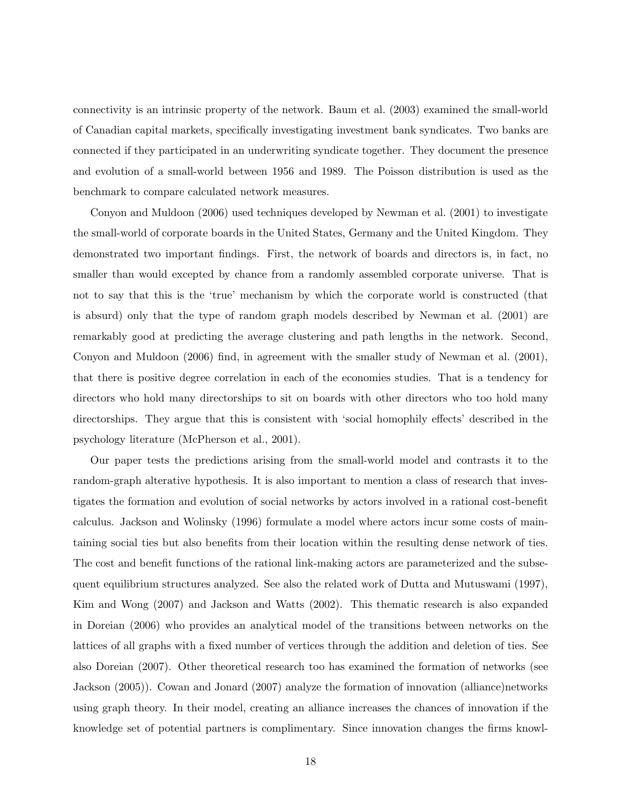connectivity is an intrinsic property of the network. Baum et al. (2003) examined the small-world of Canadian capital markets, specifically investigating investment bank syndicates. Two banks are connected if they participated in an underwriting syndicate together. They document the presence and evolution of a small-world between 1956 and 1989. The Poisson distribution is used as the benchmark to compare calculated network measures.

Conyon and Muldoon (2006) used techniques developed by Newman et al. (2001) to investigate the small-world of corporate boards in the United States, Germany and the United Kingdom. They demonstrated two important findings. First, the network of boards and directors is, in fact, no smaller than would excepted by chance from a randomly assembled corporate universe. That is not to say that this is the 'true' mechanism by which the corporate world is constructed (that is absurd) only that the type of random graph models described by Newman et al. (2001) are remarkably good at predicting the average clustering and path lengths in the network. Second, Conyon and Muldoon (2006) find, in agreement with the smaller study of Newman et al. (2001), that there is positive degree correlation in each of the economies studies. That is a tendency for directors who hold many directorships to sit on boards with other directors who too hold many directorships. They argue that this is consistent with 'social homophily effects' described in the psychology literature (McPherson et al., 2001).

Our paper tests the predictions arising from the small-world model and contrasts it to the random-graph alterative hypothesis. It is also important to mention a class of research that investigates the formation and evolution of social networks by actors involved in a rational cost-benefit calculus. Jackson and Wolinsky (1996) formulate a model where actors incur some costs of maintaining social ties but also benefits from their location within the resulting dense network of ties. The cost and benefit functions of the rational link-making actors are parameterized and the subsequent equilibrium structures analyzed. See also the related work of Dutta and Mutuswami (1997), Kim and Wong (2007) and Jackson and Watts (2002). This thematic research is also expanded in Doreian (2006) who provides an analytical model of the transitions between networks on the lattices of all graphs with a fixed number of vertices through the addition and deletion of ties. See also Doreian (2007). Other theoretical research too has examined the formation of networks (see Jackson (2005)). Cowan and Jonard (2007) analyze the formation of innovation (alliance)networks using graph theory. In their model, creating an alliance increases the chances of innovation if the knowledge set of potential partners is complimentary. Since innovation changes the firms knowl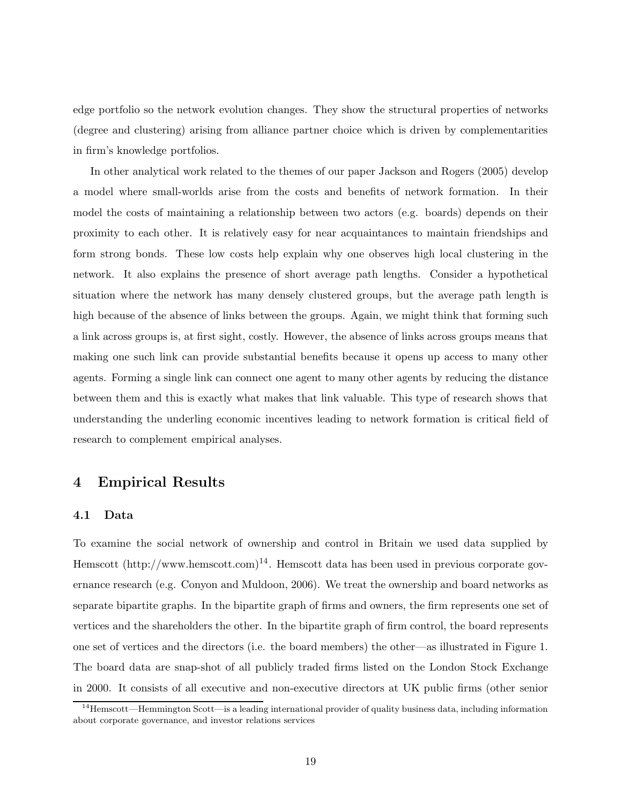edge portfolio so the network evolution changes. They show the structural properties of networks (degree and clustering) arising from alliance partner choice which is driven by complementarities in firm's knowledge portfolios.

In other analytical work related to the themes of our paper Jackson and Rogers (2005) develop a model where small-worlds arise from the costs and benefits of network formation. In their model the costs of maintaining a relationship between two actors (e.g. boards) depends on their proximity to each other. It is relatively easy for near acquaintances to maintain friendships and form strong bonds. These low costs help explain why one observes high local clustering in the network. It also explains the presence of short average path lengths. Consider a hypothetical situation where the network has many densely clustered groups, but the average path length is high because of the absence of links between the groups. Again, we might think that forming such a link across groups is, at first sight, costly. However, the absence of links across groups means that making one such link can provide substantial benefits because it opens up access to many other agents. Forming a single link can connect one agent to many other agents by reducing the distance between them and this is exactly what makes that link valuable. This type of research shows that understanding the underling economic incentives leading to network formation is critical field of research to complement empirical analyses.

### **4 Empirical Results**

#### **4.1 Data**

To examine the social network of ownership and control in Britain we used data supplied by Hemscott (http://www.hemscott.com)<sup>14</sup>. Hemscott data has been used in previous corporate governance research (e.g. Conyon and Muldoon, 2006). We treat the ownership and board networks as separate bipartite graphs. In the bipartite graph of firms and owners, the firm represents one set of vertices and the shareholders the other. In the bipartite graph of firm control, the board represents one set of vertices and the directors (i.e. the board members) the other—as illustrated in Figure 1. The board data are snap-shot of all publicly traded firms listed on the London Stock Exchange in 2000. It consists of all executive and non-executive directors at UK public firms (other senior

<sup>14</sup>Hemscott—Hemmington Scott—is a leading international provider of quality business data, including information about corporate governance, and investor relations services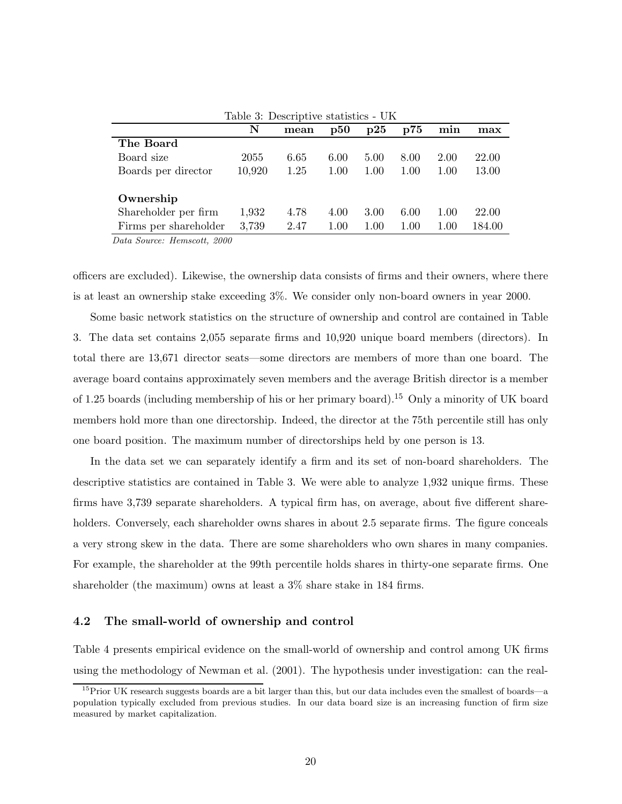| Table 5. Descriptive statistics - UN |        |      |              |           |                |      |        |
|--------------------------------------|--------|------|--------------|-----------|----------------|------|--------|
|                                      | N      | mean | $_{\rm D}50$ | $\bf p25$ | $\mathbf{D}75$ | min  | max    |
| The Board                            |        |      |              |           |                |      |        |
| Board size                           | 2055   | 6.65 | 6.00         | 5.00      | 8.00           | 2.00 | 22.00  |
| Boards per director                  | 10,920 | 1.25 | 1.00         | 1.00      | 1.00           | 1.00 | 13.00  |
| Ownership                            |        |      |              |           |                |      |        |
| Shareholder per firm                 | 1,932  | 4.78 | 4.00         | 3.00      | 6.00           | 1.00 | 22.00  |
| Firms per shareholder                | 3,739  | 2.47 | 1.00         | 1.00      | $1.00\,$       | 1.00 | 184.00 |

Table 3: Descriptive statistics - UK

*Data Source: Hemscott, 2000*

officers are excluded). Likewise, the ownership data consists of firms and their owners, where there is at least an ownership stake exceeding 3%. We consider only non-board owners in year 2000.

Some basic network statistics on the structure of ownership and control are contained in Table 3. The data set contains 2,055 separate firms and 10,920 unique board members (directors). In total there are 13,671 director seats—some directors are members of more than one board. The average board contains approximately seven members and the average British director is a member of 1.25 boards (including membership of his or her primary board).<sup>15</sup> Only a minority of UK board members hold more than one directorship. Indeed, the director at the 75th percentile still has only one board position. The maximum number of directorships held by one person is 13.

In the data set we can separately identify a firm and its set of non-board shareholders. The descriptive statistics are contained in Table 3. We were able to analyze 1,932 unique firms. These firms have 3,739 separate shareholders. A typical firm has, on average, about five different shareholders. Conversely, each shareholder owns shares in about 2.5 separate firms. The figure conceals a very strong skew in the data. There are some shareholders who own shares in many companies. For example, the shareholder at the 99th percentile holds shares in thirty-one separate firms. One shareholder (the maximum) owns at least a 3% share stake in 184 firms.

#### **4.2 The small-world of ownership and control**

Table 4 presents empirical evidence on the small-world of ownership and control among UK firms using the methodology of Newman et al. (2001). The hypothesis under investigation: can the real-

<sup>15</sup>Prior UK research suggests boards are a bit larger than this, but our data includes even the smallest of boards—a population typically excluded from previous studies. In our data board size is an increasing function of firm size measured by market capitalization.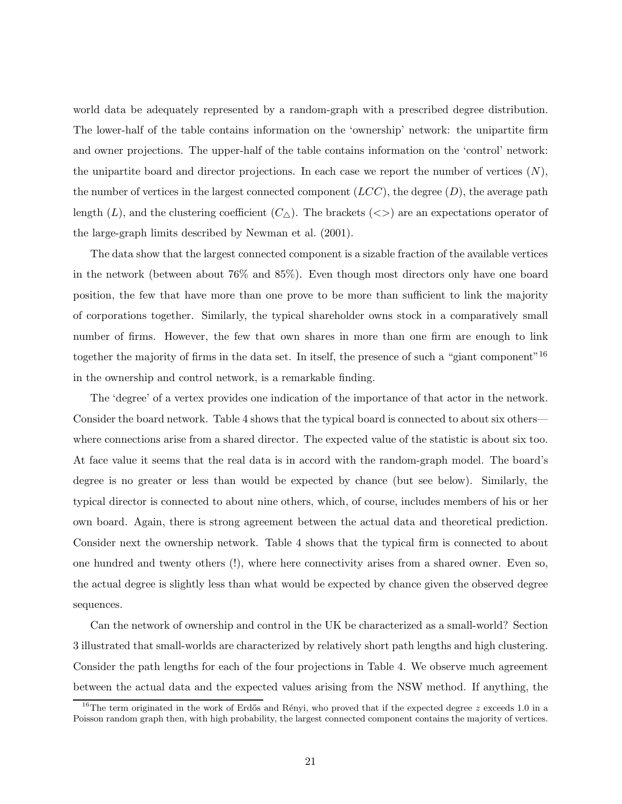world data be adequately represented by a random-graph with a prescribed degree distribution. The lower-half of the table contains information on the 'ownership' network: the unipartite firm and owner projections. The upper-half of the table contains information on the 'control' network: the unipartite board and director projections. In each case we report the number of vertices  $(N)$ , the number of vertices in the largest connected component  $(LCC)$ , the degree  $(D)$ , the average path length (L), and the clustering coefficient  $(C_{\wedge})$ . The brackets  $(\leq)$  are an expectations operator of the large-graph limits described by Newman et al. (2001).

The data show that the largest connected component is a sizable fraction of the available vertices in the network (between about 76% and 85%). Even though most directors only have one board position, the few that have more than one prove to be more than sufficient to link the majority of corporations together. Similarly, the typical shareholder owns stock in a comparatively small number of firms. However, the few that own shares in more than one firm are enough to link together the majority of firms in the data set. In itself, the presence of such a "giant component"<sup>16</sup> in the ownership and control network, is a remarkable finding.

The 'degree' of a vertex provides one indication of the importance of that actor in the network. Consider the board network. Table 4 shows that the typical board is connected to about six others where connections arise from a shared director. The expected value of the statistic is about six too. At face value it seems that the real data is in accord with the random-graph model. The board's degree is no greater or less than would be expected by chance (but see below). Similarly, the typical director is connected to about nine others, which, of course, includes members of his or her own board. Again, there is strong agreement between the actual data and theoretical prediction. Consider next the ownership network. Table 4 shows that the typical firm is connected to about one hundred and twenty others (!), where here connectivity arises from a shared owner. Even so, the actual degree is slightly less than what would be expected by chance given the observed degree sequences.

Can the network of ownership and control in the UK be characterized as a small-world? Section 3 illustrated that small-worlds are characterized by relatively short path lengths and high clustering. Consider the path lengths for each of the four projections in Table 4. We observe much agreement between the actual data and the expected values arising from the NSW method. If anything, the

<sup>&</sup>lt;sup>16</sup>The term originated in the work of Erdős and Rényi, who proved that if the expected degree  $z$  exceeds 1.0 in a Poisson random graph then, with high probability, the largest connected component contains the majority of vertices.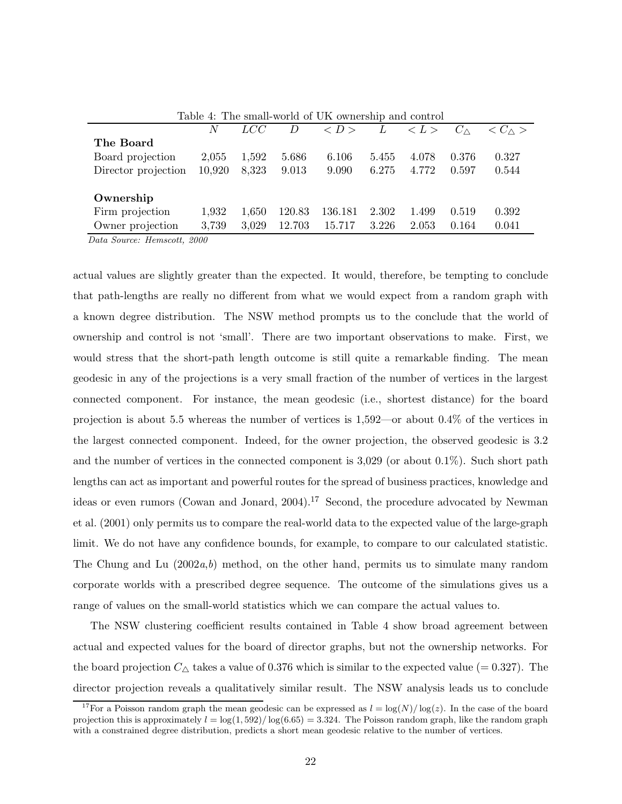|                     | N      | LCC <sup>-</sup> | D      | $\langle D \rangle$ |       |       |       | $L \leq L > C_{\wedge} \leq C_{\wedge} >$ |
|---------------------|--------|------------------|--------|---------------------|-------|-------|-------|-------------------------------------------|
| The Board           |        |                  |        |                     |       |       |       |                                           |
| Board projection    | 2.055  | 1,592            | 5.686  | 6.106               | 5.455 | 4.078 | 0.376 | 0.327                                     |
| Director projection | 10,920 | 8,323            | 9.013  | 9.090               | 6.275 | 4.772 | 0.597 | 0.544                                     |
|                     |        |                  |        |                     |       |       |       |                                           |
| Ownership           |        |                  |        |                     |       |       |       |                                           |
| Firm projection     | 1,932  | 1.650            | 120.83 | 136.181             | 2.302 | 1.499 | 0.519 | 0.392                                     |
| Owner projection    | 3,739  | 3,029            | 12.703 | 15.717              | 3.226 | 2.053 | 0.164 | 0.041                                     |

Table 4: The small-world of UK ownership and control

*Data Source: Hemscott, 2000*

actual values are slightly greater than the expected. It would, therefore, be tempting to conclude that path-lengths are really no different from what we would expect from a random graph with a known degree distribution. The NSW method prompts us to the conclude that the world of ownership and control is not 'small'. There are two important observations to make. First, we would stress that the short-path length outcome is still quite a remarkable finding. The mean geodesic in any of the projections is a very small fraction of the number of vertices in the largest connected component. For instance, the mean geodesic (i.e., shortest distance) for the board projection is about 5.5 whereas the number of vertices is 1,592—or about 0.4% of the vertices in the largest connected component. Indeed, for the owner projection, the observed geodesic is 3.2 and the number of vertices in the connected component is  $3,029$  (or about  $0.1\%$ ). Such short path lengths can act as important and powerful routes for the spread of business practices, knowledge and ideas or even rumors (Cowan and Jonard,  $2004$ ).<sup>17</sup> Second, the procedure advocated by Newman et al. (2001) only permits us to compare the real-world data to the expected value of the large-graph limit. We do not have any confidence bounds, for example, to compare to our calculated statistic. The Chung and Lu (2002*a*,*b*) method, on the other hand, permits us to simulate many random corporate worlds with a prescribed degree sequence. The outcome of the simulations gives us a range of values on the small-world statistics which we can compare the actual values to.

The NSW clustering coefficient results contained in Table 4 show broad agreement between actual and expected values for the board of director graphs, but not the ownership networks. For the board projection  $C_{\Delta}$  takes a value of 0.376 which is similar to the expected value (= 0.327). The director projection reveals a qualitatively similar result. The NSW analysis leads us to conclude

<sup>&</sup>lt;sup>17</sup>For a Poisson random graph the mean geodesic can be expressed as  $l = \log(N)/\log(z)$ . In the case of the board projection this is approximately  $l = \log(1, 592)/\log(6.65) = 3.324$ . The Poisson random graph, like the random graph with a constrained degree distribution, predicts a short mean geodesic relative to the number of vertices.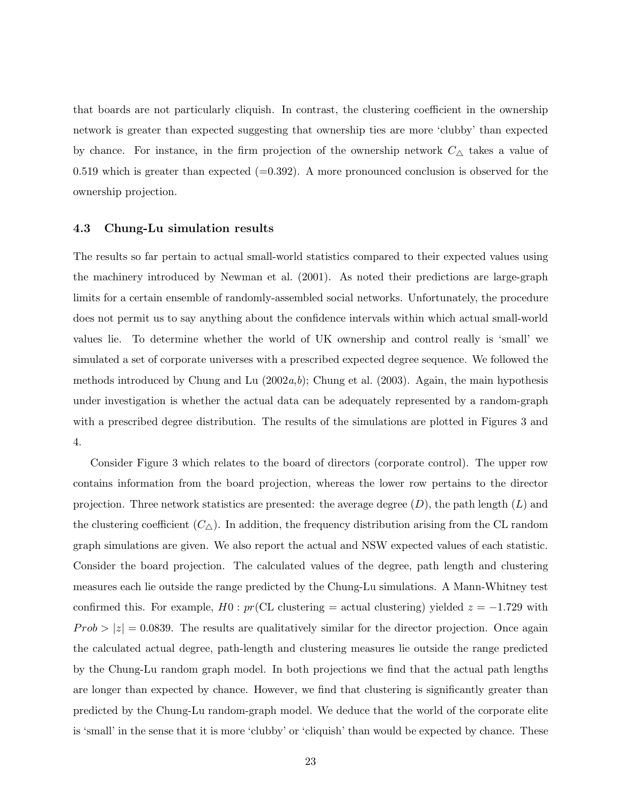that boards are not particularly cliquish. In contrast, the clustering coefficient in the ownership network is greater than expected suggesting that ownership ties are more 'clubby' than expected by chance. For instance, in the firm projection of the ownership network  $C_{\Delta}$  takes a value of 0.519 which is greater than expected  $(=0.392)$ . A more pronounced conclusion is observed for the ownership projection.

#### **4.3 Chung-Lu simulation results**

The results so far pertain to actual small-world statistics compared to their expected values using the machinery introduced by Newman et al. (2001). As noted their predictions are large-graph limits for a certain ensemble of randomly-assembled social networks. Unfortunately, the procedure does not permit us to say anything about the confidence intervals within which actual small-world values lie. To determine whether the world of UK ownership and control really is 'small' we simulated a set of corporate universes with a prescribed expected degree sequence. We followed the methods introduced by Chung and Lu (2002*a*,*b*); Chung et al. (2003). Again, the main hypothesis under investigation is whether the actual data can be adequately represented by a random-graph with a prescribed degree distribution. The results of the simulations are plotted in Figures 3 and 4.

Consider Figure 3 which relates to the board of directors (corporate control). The upper row contains information from the board projection, whereas the lower row pertains to the director projection. Three network statistics are presented: the average degree  $(D)$ , the path length  $(L)$  and the clustering coefficient  $(C_{\Delta})$ . In addition, the frequency distribution arising from the CL random graph simulations are given. We also report the actual and NSW expected values of each statistic. Consider the board projection. The calculated values of the degree, path length and clustering measures each lie outside the range predicted by the Chung-Lu simulations. A Mann-Whitney test confirmed this. For example,  $H0: pr(CL$  clustering = actual clustering) yielded  $z = -1.729$  with  $Prob > |z| = 0.0839$ . The results are qualitatively similar for the director projection. Once again the calculated actual degree, path-length and clustering measures lie outside the range predicted by the Chung-Lu random graph model. In both projections we find that the actual path lengths are longer than expected by chance. However, we find that clustering is significantly greater than predicted by the Chung-Lu random-graph model. We deduce that the world of the corporate elite is 'small' in the sense that it is more 'clubby' or 'cliquish' than would be expected by chance. These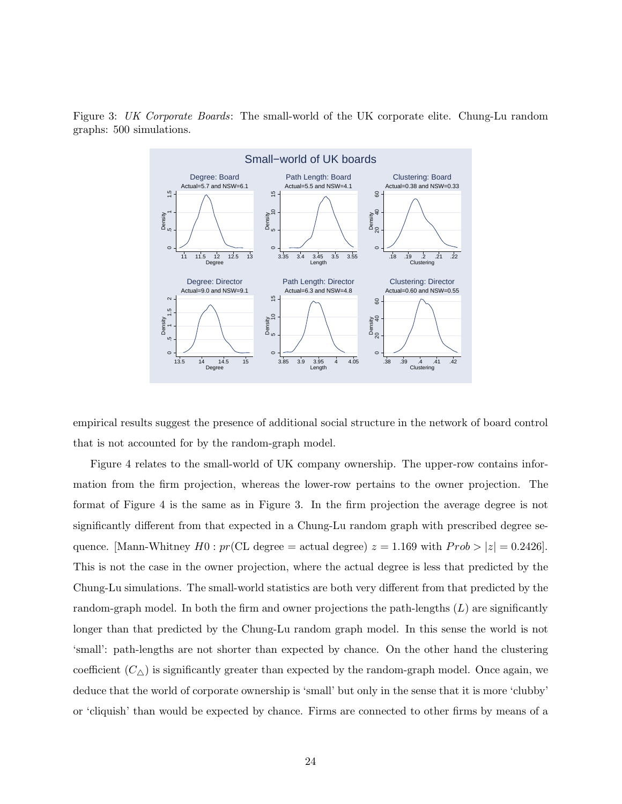

Figure 3: *UK Corporate Boards*: The small-world of the UK corporate elite. Chung-Lu random graphs: 500 simulations.

empirical results suggest the presence of additional social structure in the network of board control that is not accounted for by the random-graph model.

Figure 4 relates to the small-world of UK company ownership. The upper-row contains information from the firm projection, whereas the lower-row pertains to the owner projection. The format of Figure 4 is the same as in Figure 3. In the firm projection the average degree is not significantly different from that expected in a Chung-Lu random graph with prescribed degree sequence. [Mann-Whitney  $H0: pr(CL \text{ degree} = \text{actual degree}) z = 1.169 \text{ with } Prob > |z| = 0.2426$ ]. This is not the case in the owner projection, where the actual degree is less that predicted by the Chung-Lu simulations. The small-world statistics are both very different from that predicted by the random-graph model. In both the firm and owner projections the path-lengths  $(L)$  are significantly longer than that predicted by the Chung-Lu random graph model. In this sense the world is not 'small': path-lengths are not shorter than expected by chance. On the other hand the clustering coefficient  $(C_{\wedge})$  is significantly greater than expected by the random-graph model. Once again, we deduce that the world of corporate ownership is 'small' but only in the sense that it is more 'clubby' or 'cliquish' than would be expected by chance. Firms are connected to other firms by means of a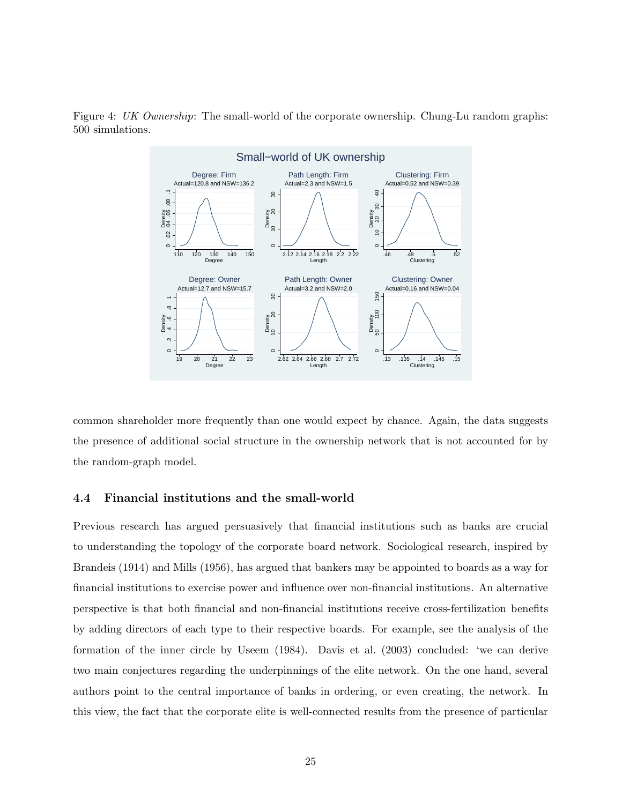

Figure 4: *UK Ownership*: The small-world of the corporate ownership. Chung-Lu random graphs: 500 simulations.

common shareholder more frequently than one would expect by chance. Again, the data suggests the presence of additional social structure in the ownership network that is not accounted for by the random-graph model.

### **4.4 Financial institutions and the small-world**

Previous research has argued persuasively that financial institutions such as banks are crucial to understanding the topology of the corporate board network. Sociological research, inspired by Brandeis (1914) and Mills (1956), has argued that bankers may be appointed to boards as a way for financial institutions to exercise power and influence over non-financial institutions. An alternative perspective is that both financial and non-financial institutions receive cross-fertilization benefits by adding directors of each type to their respective boards. For example, see the analysis of the formation of the inner circle by Useem (1984). Davis et al. (2003) concluded: 'we can derive two main conjectures regarding the underpinnings of the elite network. On the one hand, several authors point to the central importance of banks in ordering, or even creating, the network. In this view, the fact that the corporate elite is well-connected results from the presence of particular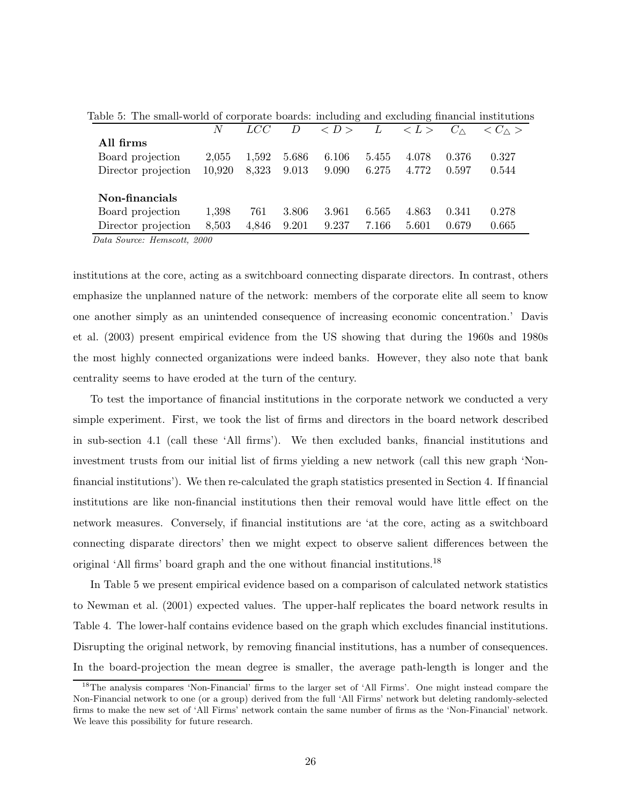|                     | N      | LCC <sup>-</sup> | D     |       |       | $\langle D \rangle$ $L \langle L \rangle$ |       | $C_{\wedge} \leq C_{\wedge}$ |
|---------------------|--------|------------------|-------|-------|-------|-------------------------------------------|-------|------------------------------|
| All firms           |        |                  |       |       |       |                                           |       |                              |
| Board projection    | 2.055  | 1,592            | 5.686 | 6.106 | 5.455 | 4.078                                     | 0.376 | 0.327                        |
| Director projection | 10,920 | 8,323            | 9.013 | 9.090 | 6.275 | 4.772                                     | 0.597 | 0.544                        |
|                     |        |                  |       |       |       |                                           |       |                              |
| Non-financials      |        |                  |       |       |       |                                           |       |                              |
| Board projection    | 1,398  | 761              | 3.806 | 3.961 | 6.565 | 4.863                                     | 0.341 | 0.278                        |
| Director projection | 8,503  | 4,846            | 9.201 | 9.237 | 7.166 | 5.601                                     | 0.679 | 0.665                        |

Table 5: The small-world of corporate boards: including and excluding financial institutions

*Data Source: Hemscott, 2000*

institutions at the core, acting as a switchboard connecting disparate directors. In contrast, others emphasize the unplanned nature of the network: members of the corporate elite all seem to know one another simply as an unintended consequence of increasing economic concentration.' Davis et al. (2003) present empirical evidence from the US showing that during the 1960s and 1980s the most highly connected organizations were indeed banks. However, they also note that bank centrality seems to have eroded at the turn of the century.

To test the importance of financial institutions in the corporate network we conducted a very simple experiment. First, we took the list of firms and directors in the board network described in sub-section 4.1 (call these 'All firms'). We then excluded banks, financial institutions and investment trusts from our initial list of firms yielding a new network (call this new graph 'Nonfinancial institutions'). We then re-calculated the graph statistics presented in Section 4. If financial institutions are like non-financial institutions then their removal would have little effect on the network measures. Conversely, if financial institutions are 'at the core, acting as a switchboard connecting disparate directors' then we might expect to observe salient differences between the original 'All firms' board graph and the one without financial institutions.<sup>18</sup>

In Table 5 we present empirical evidence based on a comparison of calculated network statistics to Newman et al. (2001) expected values. The upper-half replicates the board network results in Table 4. The lower-half contains evidence based on the graph which excludes financial institutions. Disrupting the original network, by removing financial institutions, has a number of consequences. In the board-projection the mean degree is smaller, the average path-length is longer and the

<sup>18</sup>The analysis compares 'Non-Financial' firms to the larger set of 'All Firms'. One might instead compare the Non-Financial network to one (or a group) derived from the full 'All Firms' network but deleting randomly-selected firms to make the new set of 'All Firms' network contain the same number of firms as the 'Non-Financial' network. We leave this possibility for future research.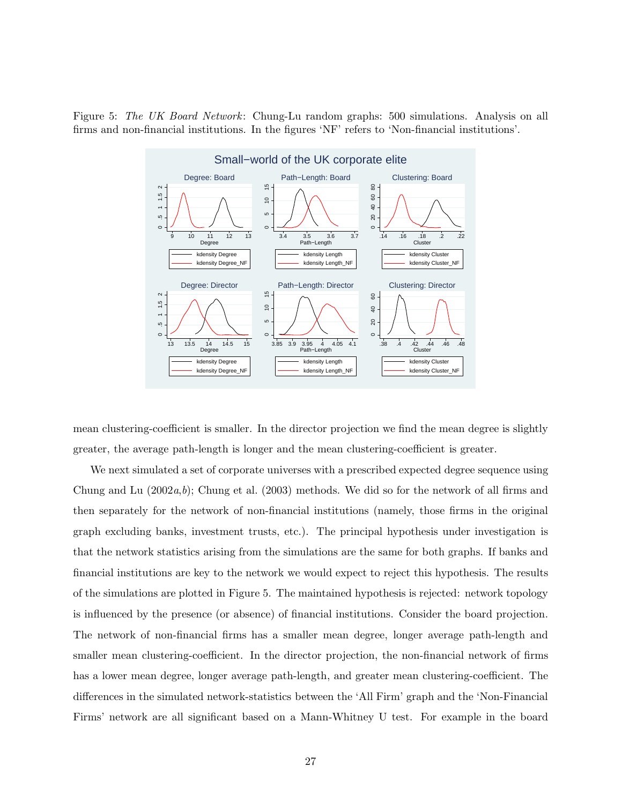Figure 5: *The UK Board Network*: Chung-Lu random graphs: 500 simulations. Analysis on all firms and non-financial institutions. In the figures 'NF' refers to 'Non-financial institutions'.



mean clustering-coefficient is smaller. In the director projection we find the mean degree is slightly greater, the average path-length is longer and the mean clustering-coefficient is greater.

We next simulated a set of corporate universes with a prescribed expected degree sequence using Chung and Lu (2002*a*,*b*); Chung et al. (2003) methods. We did so for the network of all firms and then separately for the network of non-financial institutions (namely, those firms in the original graph excluding banks, investment trusts, etc.). The principal hypothesis under investigation is that the network statistics arising from the simulations are the same for both graphs. If banks and financial institutions are key to the network we would expect to reject this hypothesis. The results of the simulations are plotted in Figure 5. The maintained hypothesis is rejected: network topology is influenced by the presence (or absence) of financial institutions. Consider the board projection. The network of non-financial firms has a smaller mean degree, longer average path-length and smaller mean clustering-coefficient. In the director projection, the non-financial network of firms has a lower mean degree, longer average path-length, and greater mean clustering-coefficient. The differences in the simulated network-statistics between the 'All Firm' graph and the 'Non-Financial Firms' network are all significant based on a Mann-Whitney U test. For example in the board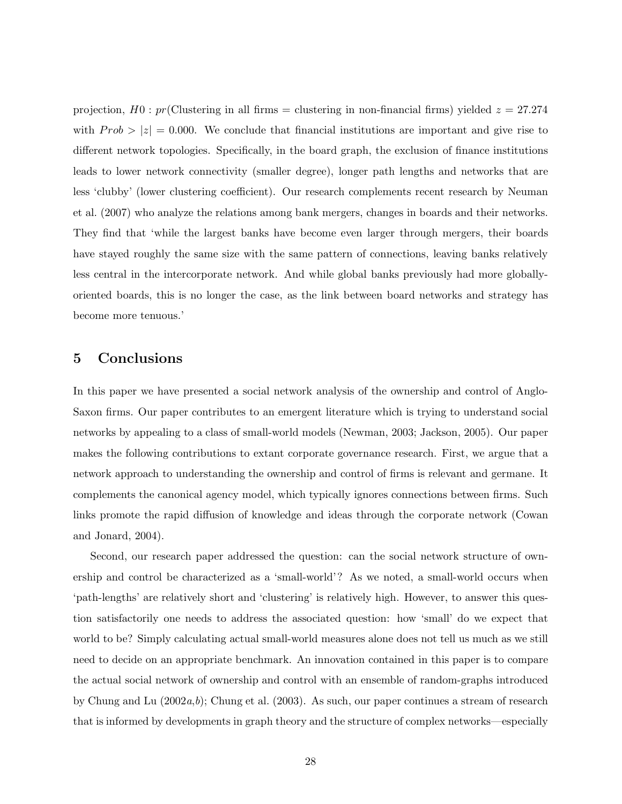projection,  $H0: pr$  (Clustering in all firms = clustering in non-financial firms) yielded  $z = 27.274$ with  $Prob > |z| = 0.000$ . We conclude that financial institutions are important and give rise to different network topologies. Specifically, in the board graph, the exclusion of finance institutions leads to lower network connectivity (smaller degree), longer path lengths and networks that are less 'clubby' (lower clustering coefficient). Our research complements recent research by Neuman et al. (2007) who analyze the relations among bank mergers, changes in boards and their networks. They find that 'while the largest banks have become even larger through mergers, their boards have stayed roughly the same size with the same pattern of connections, leaving banks relatively less central in the intercorporate network. And while global banks previously had more globallyoriented boards, this is no longer the case, as the link between board networks and strategy has become more tenuous.'

## **5 Conclusions**

In this paper we have presented a social network analysis of the ownership and control of Anglo-Saxon firms. Our paper contributes to an emergent literature which is trying to understand social networks by appealing to a class of small-world models (Newman, 2003; Jackson, 2005). Our paper makes the following contributions to extant corporate governance research. First, we argue that a network approach to understanding the ownership and control of firms is relevant and germane. It complements the canonical agency model, which typically ignores connections between firms. Such links promote the rapid diffusion of knowledge and ideas through the corporate network (Cowan and Jonard, 2004).

Second, our research paper addressed the question: can the social network structure of ownership and control be characterized as a 'small-world'? As we noted, a small-world occurs when 'path-lengths' are relatively short and 'clustering' is relatively high. However, to answer this question satisfactorily one needs to address the associated question: how 'small' do we expect that world to be? Simply calculating actual small-world measures alone does not tell us much as we still need to decide on an appropriate benchmark. An innovation contained in this paper is to compare the actual social network of ownership and control with an ensemble of random-graphs introduced by Chung and Lu (2002*a*,*b*); Chung et al. (2003). As such, our paper continues a stream of research that is informed by developments in graph theory and the structure of complex networks—especially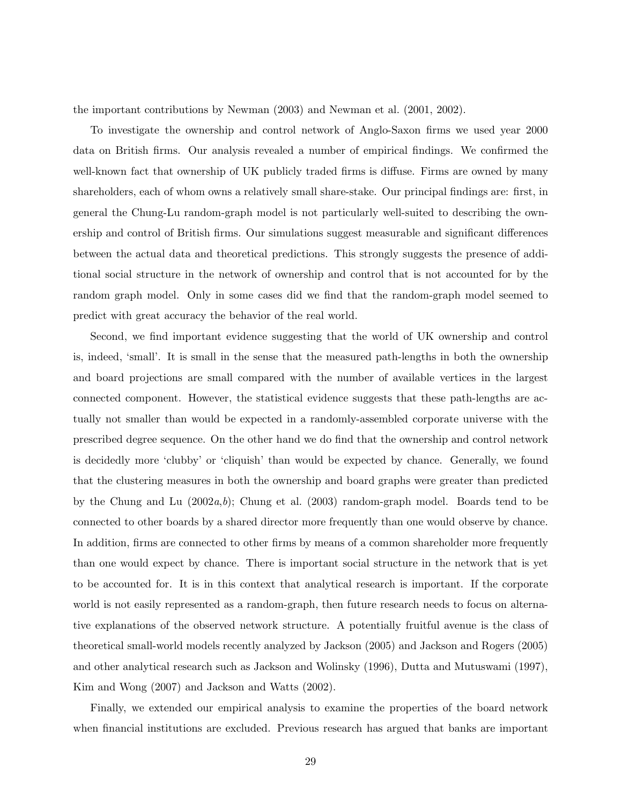the important contributions by Newman (2003) and Newman et al. (2001, 2002).

To investigate the ownership and control network of Anglo-Saxon firms we used year 2000 data on British firms. Our analysis revealed a number of empirical findings. We confirmed the well-known fact that ownership of UK publicly traded firms is diffuse. Firms are owned by many shareholders, each of whom owns a relatively small share-stake. Our principal findings are: first, in general the Chung-Lu random-graph model is not particularly well-suited to describing the ownership and control of British firms. Our simulations suggest measurable and significant differences between the actual data and theoretical predictions. This strongly suggests the presence of additional social structure in the network of ownership and control that is not accounted for by the random graph model. Only in some cases did we find that the random-graph model seemed to predict with great accuracy the behavior of the real world.

Second, we find important evidence suggesting that the world of UK ownership and control is, indeed, 'small'. It is small in the sense that the measured path-lengths in both the ownership and board projections are small compared with the number of available vertices in the largest connected component. However, the statistical evidence suggests that these path-lengths are actually not smaller than would be expected in a randomly-assembled corporate universe with the prescribed degree sequence. On the other hand we do find that the ownership and control network is decidedly more 'clubby' or 'cliquish' than would be expected by chance. Generally, we found that the clustering measures in both the ownership and board graphs were greater than predicted by the Chung and Lu (2002*a*,*b*); Chung et al. (2003) random-graph model. Boards tend to be connected to other boards by a shared director more frequently than one would observe by chance. In addition, firms are connected to other firms by means of a common shareholder more frequently than one would expect by chance. There is important social structure in the network that is yet to be accounted for. It is in this context that analytical research is important. If the corporate world is not easily represented as a random-graph, then future research needs to focus on alternative explanations of the observed network structure. A potentially fruitful avenue is the class of theoretical small-world models recently analyzed by Jackson (2005) and Jackson and Rogers (2005) and other analytical research such as Jackson and Wolinsky (1996), Dutta and Mutuswami (1997), Kim and Wong (2007) and Jackson and Watts (2002).

Finally, we extended our empirical analysis to examine the properties of the board network when financial institutions are excluded. Previous research has argued that banks are important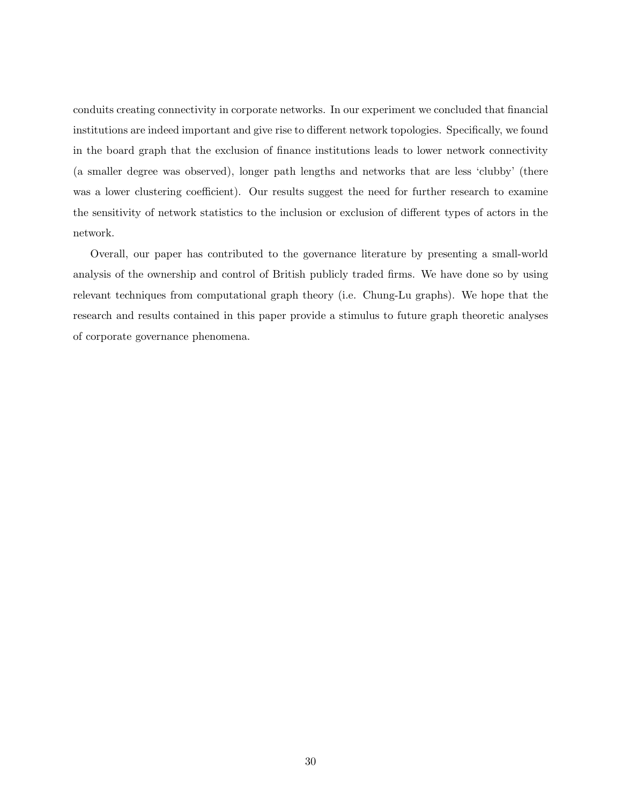conduits creating connectivity in corporate networks. In our experiment we concluded that financial institutions are indeed important and give rise to different network topologies. Specifically, we found in the board graph that the exclusion of finance institutions leads to lower network connectivity (a smaller degree was observed), longer path lengths and networks that are less 'clubby' (there was a lower clustering coefficient). Our results suggest the need for further research to examine the sensitivity of network statistics to the inclusion or exclusion of different types of actors in the network.

Overall, our paper has contributed to the governance literature by presenting a small-world analysis of the ownership and control of British publicly traded firms. We have done so by using relevant techniques from computational graph theory (i.e. Chung-Lu graphs). We hope that the research and results contained in this paper provide a stimulus to future graph theoretic analyses of corporate governance phenomena.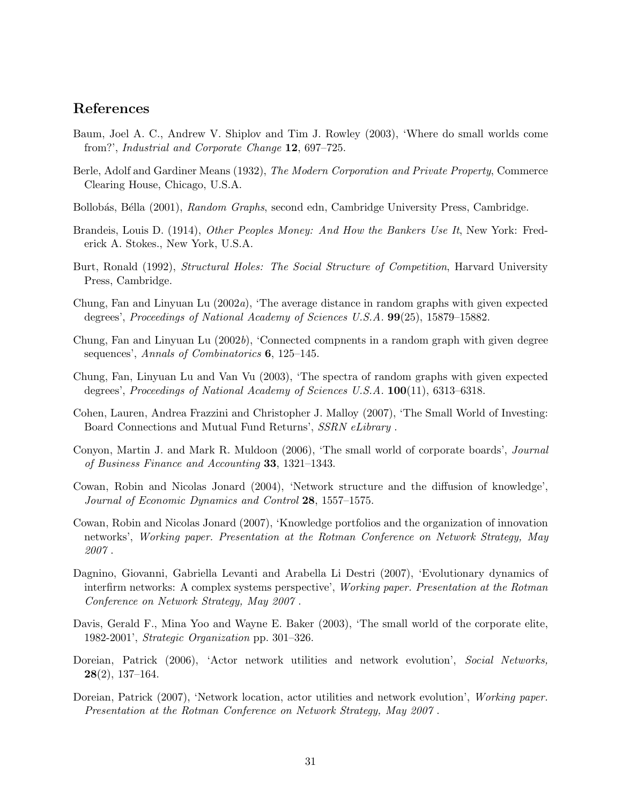# **References**

- Baum, Joel A. C., Andrew V. Shiplov and Tim J. Rowley (2003), 'Where do small worlds come from?', *Industrial and Corporate Change* **12**, 697–725.
- Berle, Adolf and Gardiner Means (1932), *The Modern Corporation and Private Property*, Commerce Clearing House, Chicago, U.S.A.
- Bollob´as, B´ella (2001), *Random Graphs*, second edn, Cambridge University Press, Cambridge.
- Brandeis, Louis D. (1914), *Other Peoples Money: And How the Bankers Use It*, New York: Frederick A. Stokes., New York, U.S.A.
- Burt, Ronald (1992), *Structural Holes: The Social Structure of Competition*, Harvard University Press, Cambridge.
- Chung, Fan and Linyuan Lu (2002*a*), 'The average distance in random graphs with given expected degrees', *Proceedings of National Academy of Sciences U.S.A.* **99**(25), 15879–15882.
- Chung, Fan and Linyuan Lu (2002*b*), 'Connected compnents in a random graph with given degree sequences', *Annals of Combinatorics* **6**, 125–145.
- Chung, Fan, Linyuan Lu and Van Vu (2003), 'The spectra of random graphs with given expected degrees', *Proceedings of National Academy of Sciences U.S.A.* **100**(11), 6313–6318.
- Cohen, Lauren, Andrea Frazzini and Christopher J. Malloy (2007), 'The Small World of Investing: Board Connections and Mutual Fund Returns', *SSRN eLibrary* .
- Conyon, Martin J. and Mark R. Muldoon (2006), 'The small world of corporate boards', *Journal of Business Finance and Accounting* **33**, 1321–1343.
- Cowan, Robin and Nicolas Jonard (2004), 'Network structure and the diffusion of knowledge', *Journal of Economic Dynamics and Control* **28**, 1557–1575.
- Cowan, Robin and Nicolas Jonard (2007), 'Knowledge portfolios and the organization of innovation networks', *Working paper. Presentation at the Rotman Conference on Network Strategy, May 2007* .
- Dagnino, Giovanni, Gabriella Levanti and Arabella Li Destri (2007), 'Evolutionary dynamics of interfirm networks: A complex systems perspective', *Working paper. Presentation at the Rotman Conference on Network Strategy, May 2007* .
- Davis, Gerald F., Mina Yoo and Wayne E. Baker (2003), 'The small world of the corporate elite, 1982-2001', *Strategic Organization* pp. 301–326.
- Doreian, Patrick (2006), 'Actor network utilities and network evolution', *Social Networks,* **28**(2), 137–164.
- Doreian, Patrick (2007), 'Network location, actor utilities and network evolution', *Working paper. Presentation at the Rotman Conference on Network Strategy, May 2007* .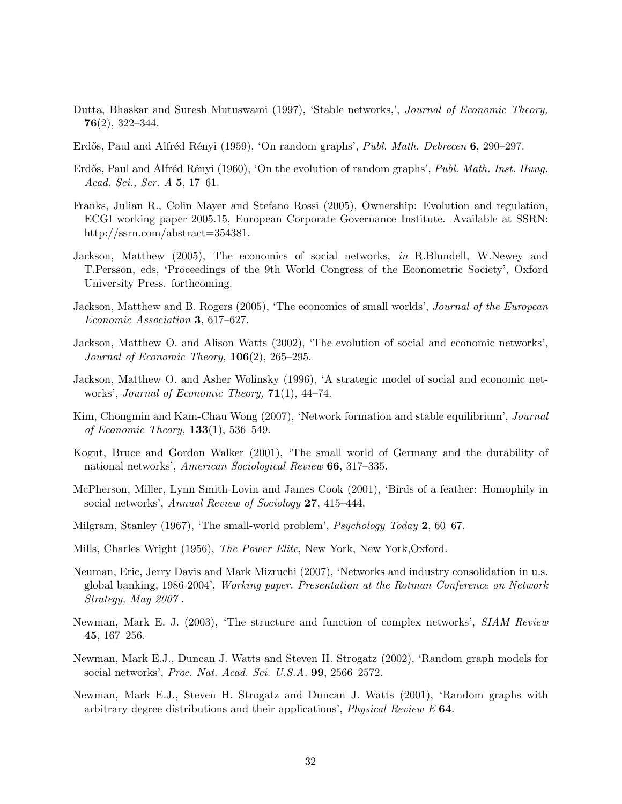- Dutta, Bhaskar and Suresh Mutuswami (1997), 'Stable networks,', *Journal of Economic Theory,* **76**(2), 322–344.
- Erdős, Paul and Alfréd Rényi (1959), 'On random graphs', *Publ. Math. Debrecen* **6**, 290–297.
- Erdős, Paul and Alfréd Rényi (1960), 'On the evolution of random graphs', *Publ. Math. Inst. Hung. Acad. Sci., Ser. A* **5**, 17–61.
- Franks, Julian R., Colin Mayer and Stefano Rossi (2005), Ownership: Evolution and regulation, ECGI working paper 2005.15, European Corporate Governance Institute. Available at SSRN: http://ssrn.com/abstract=354381.
- Jackson, Matthew (2005), The economics of social networks, *in* R.Blundell, W.Newey and T.Persson, eds, 'Proceedings of the 9th World Congress of the Econometric Society', Oxford University Press. forthcoming.
- Jackson, Matthew and B. Rogers (2005), 'The economics of small worlds', *Journal of the European Economic Association* **3**, 617–627.
- Jackson, Matthew O. and Alison Watts (2002), 'The evolution of social and economic networks', *Journal of Economic Theory,* **106**(2), 265–295.
- Jackson, Matthew O. and Asher Wolinsky (1996), 'A strategic model of social and economic networks', *Journal of Economic Theory,* **71**(1), 44–74.
- Kim, Chongmin and Kam-Chau Wong (2007), 'Network formation and stable equilibrium', *Journal of Economic Theory,* **133**(1), 536–549.
- Kogut, Bruce and Gordon Walker (2001), 'The small world of Germany and the durability of national networks', *American Sociological Review* **66**, 317–335.
- McPherson, Miller, Lynn Smith-Lovin and James Cook (2001), 'Birds of a feather: Homophily in social networks', *Annual Review of Sociology* **27**, 415–444.
- Milgram, Stanley (1967), 'The small-world problem', *Psychology Today* **2**, 60–67.
- Mills, Charles Wright (1956), *The Power Elite*, New York, New York,Oxford.
- Neuman, Eric, Jerry Davis and Mark Mizruchi (2007), 'Networks and industry consolidation in u.s. global banking, 1986-2004', *Working paper. Presentation at the Rotman Conference on Network Strategy, May 2007* .
- Newman, Mark E. J. (2003), 'The structure and function of complex networks', *SIAM Review* **45**, 167–256.
- Newman, Mark E.J., Duncan J. Watts and Steven H. Strogatz (2002), 'Random graph models for social networks', *Proc. Nat. Acad. Sci. U.S.A.* **99**, 2566–2572.
- Newman, Mark E.J., Steven H. Strogatz and Duncan J. Watts (2001), 'Random graphs with arbitrary degree distributions and their applications', *Physical Review E* **64**.